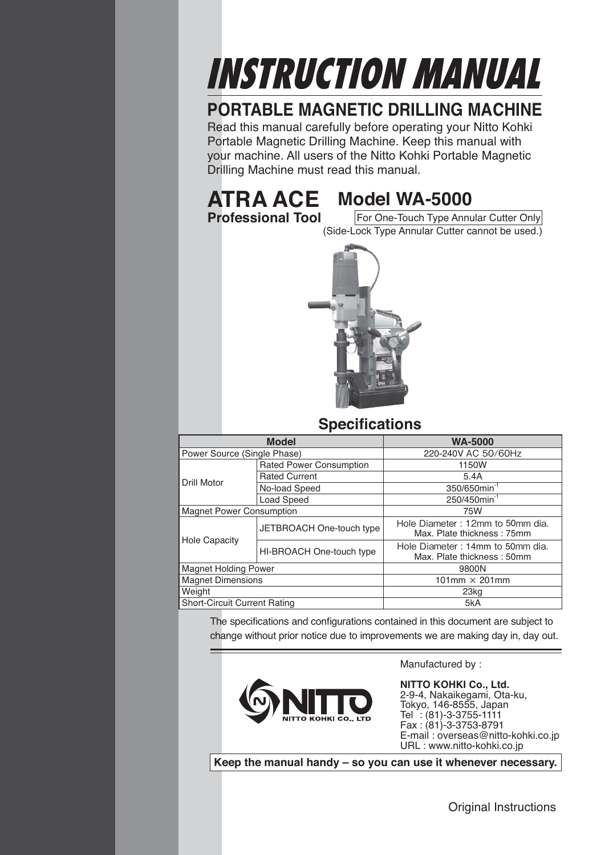# INSTRUCTION MANUAL

## **PORTABLE MAGNETIC DRILLING MACHINE**

Read this manual carefully before operating your Nitto Kohki Portable Magnetic Drilling Machine. Keep this manual with your machine. All users of the Nitto Kohki Portable Magnetic Drilling Machine must read this manual.

## **ATRA ACE Model WA-5000**<br>**Professional Tool** For One-Touch Type Annu

**For One-Touch Type Annular Cutter Only** (Side-Lock Type Annular Cutter cannot be used.)



#### **Specifications**

| <b>Model</b>                        |                                | <b>WA-5000</b>                                                 |
|-------------------------------------|--------------------------------|----------------------------------------------------------------|
| Power Source (Single Phase)         |                                | 220-240V AC 50/60Hz                                            |
|                                     | <b>Rated Power Consumption</b> | 1150W                                                          |
| <b>Drill Motor</b>                  | <b>Rated Current</b>           | 5.4A                                                           |
|                                     | No-load Speed                  | 350/650min <sup>-1</sup>                                       |
|                                     | <b>Load Speed</b>              | 250/450min <sup>-1</sup>                                       |
| <b>Magnet Power Consumption</b>     |                                | 75W                                                            |
| <b>Hole Capacity</b>                | JETBROACH One-touch type       | Hole Diameter: 12mm to 50mm dia.<br>Max. Plate thickness: 75mm |
|                                     | HI-BROACH One-touch type       | Hole Diameter: 14mm to 50mm dia.<br>Max. Plate thickness: 50mm |
| <b>Magnet Holding Power</b>         |                                | 9800N                                                          |
| <b>Magnet Dimensions</b>            |                                | 101mm $\times$ 201mm                                           |
| Weight                              |                                | 23kg                                                           |
| <b>Short-Circuit Current Rating</b> |                                | 5kA                                                            |

The specifications and configurations contained in this document are subject to change without prior notice due to improvements we are making day in, day out.



**NITTO KOHKI Co., Ltd.** 2-9-4, Nakaikegami, Ota-ku, Tokyo, 146-8555, Japan Tel : (81)-3-3755-1111 Fax : (81)-3-3753-8791 E-mail : overseas@nitto-kohki.co.jp URL : www.nitto-kohki.co.jp

Manufactured by :

**Keep the manual handy – so you can use it whenever necessary.**

Original Instructions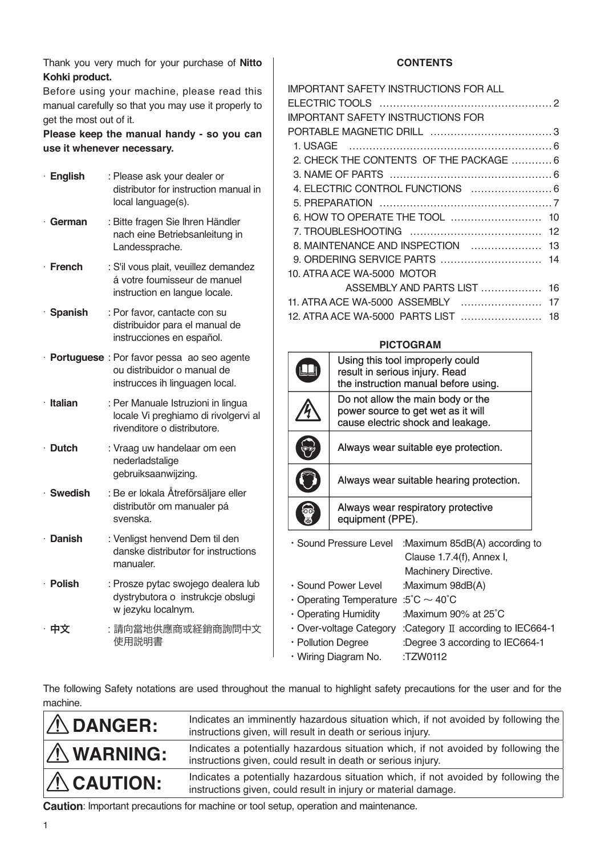Thank you very much for your purchase of **Nitto Kohki product.**

Before using your machine, please read this manual carefully so that you may use it properly to get the most out of it.

**Please keep the manual handy - so you can use it whenever necessary.**

| · English       | : Please ask your dealer or<br>distributor for instruction manual in<br>local language(s).                    |
|-----------------|---------------------------------------------------------------------------------------------------------------|
| $\cdot$ German  | : Bitte fragen Sie Ihren Händler<br>nach eine Betriebsanleitung in<br>Landessprache.                          |
| $\cdot$ French  | : S'il vous plait, veuillez demandez<br>á votre foumisseur de manuel<br>instruction en langue locale.         |
| · Spanish       | : Por favor, cantacte con su<br>distribuidor para el manual de<br>instrucciones en español.                   |
|                 | · Portuguese : Por favor pessa ao seo agente<br>ou distribuidor o manual de<br>instrucces ih linguagen local. |
| · Italian       | : Per Manuale Istruzioni in lingua<br>locale Vi preghiamo di rivolgervi al<br>rivenditore o distributore.     |
| $\cdot$ Dutch   | : Vraag uw handelaar om een<br>nederladstalige<br>gebruiksaanwijzing.                                         |
| $\cdot$ Swedish | : Be er lokala Åtreförsäljare eller<br>distributör om manualer pá<br>svenska.                                 |
| · Danish        | : Venligst henvend Dem til den<br>danske distributør for instructions<br>manualer.                            |
| · Polish        | : Prosze pytac swojego dealera lub<br>dystrybutora o instrukcje obslugi<br>w jezyku localnym.                 |
| 中文              | :請向當地供應商或経銷商詢問中文<br>使用説明書                                                                                     |

#### **CONTENTS**

| <b>IMPORTANT SAFETY INSTRUCTIONS FOR ALL</b> |  |
|----------------------------------------------|--|
|                                              |  |
| <b>IMPORTANT SAFETY INSTRUCTIONS FOR</b>     |  |
|                                              |  |
|                                              |  |
| 2. CHECK THE CONTENTS OF THE PACKAGE  6      |  |
|                                              |  |
|                                              |  |
|                                              |  |
|                                              |  |
|                                              |  |
| 8. MAINTENANCE AND INSPECTION  13            |  |
|                                              |  |
| 10. ATRA ACE WA-5000 MOTOR                   |  |
| ASSEMBLY AND PARTS LIST  16                  |  |
| 11. ATRA ACE WA-5000 ASSEMBLY  17            |  |
| 12. ATRA ACE WA-5000 PARTS LIST  18          |  |
|                                              |  |

#### **PICTOGRAM**

|                         | Using this tool improperly could         |                                      |  |
|-------------------------|------------------------------------------|--------------------------------------|--|
|                         |                                          | result in serious injury. Read       |  |
|                         |                                          | the instruction manual before using. |  |
|                         |                                          | Do not allow the main body or the    |  |
|                         |                                          | power source to get wet as it will   |  |
|                         |                                          | cause electric shock and leakage.    |  |
|                         |                                          | Always wear suitable eye protection. |  |
|                         | Always wear suitable hearing protection. |                                      |  |
|                         |                                          | Always wear respiratory protective   |  |
| οo                      | equipment (PPE).                         |                                      |  |
|                         |                                          |                                      |  |
|                         | · Sound Pressure Level                   | :Maximum 85dB(A) according to        |  |
|                         |                                          | Clause 1.7.4(f), Annex I,            |  |
|                         |                                          | Machinery Directive.                 |  |
| · Sound Power Level     |                                          | :Maximum 98dB(A)                     |  |
| • Operating Temperature |                                          | $\cdot$ 5°C $\sim$ 40°C              |  |
| • Operating Humidity    |                                          | :Maximum 90% at 25°C                 |  |
| • Over-voltage Category |                                          | :Category II according to IEC664-1   |  |
| • Pollution Degree      |                                          | :Degree 3 according to IEC664-1      |  |
| · Wiring Diagram No.    |                                          | :TZW0112                             |  |
|                         |                                          |                                      |  |

The following Safety notations are used throughout the manual to highlight safety precautions for the user and for the machine.

| $\Lambda$ DANGER:  | Indicates an imminently hazardous situation which, if not avoided by following the<br>instructions given, will result in death or serious injury.    |
|--------------------|------------------------------------------------------------------------------------------------------------------------------------------------------|
| $\Lambda$ WARNING: | Indicates a potentially hazardous situation which, if not avoided by following the<br>instructions given, could result in death or serious injury.   |
| $\Lambda$ CAUTION: | Indicates a potentially hazardous situation which, if not avoided by following the<br>instructions given, could result in injury or material damage. |

**Caution**: Important precautions for machine or tool setup, operation and maintenance.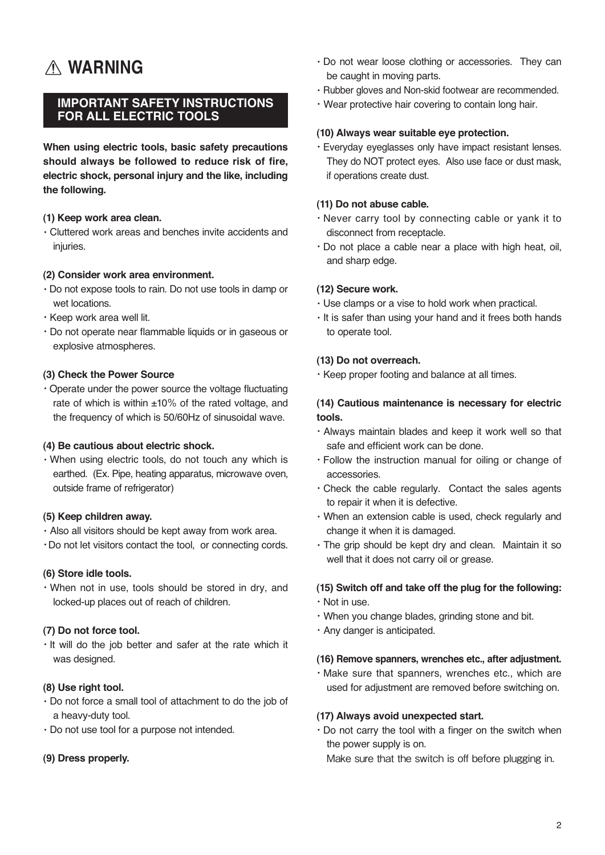## **WARNING**

#### **IMPORTANT SAFETY INSTRUCTIONS FOR ALL ELECTRIC TOOLS**

**When using electric tools, basic safety precautions should always be followed to reduce risk of fire, electric shock, personal injury and the like, including the following.**

#### **(1) Keep work area clean.**

・Cluttered work areas and benches invite accidents and injuries.

#### **(2) Consider work area environment.**

- ・Do not expose tools to rain. Do not use tools in damp or wet locations.
- ・Keep work area well lit.
- ・Do not operate near flammable liquids or in gaseous or explosive atmospheres.

#### **(3) Check the Power Source**

・Operate under the power source the voltage fluctuating rate of which is within  $\pm 10\%$  of the rated voltage, and the frequency of which is 50/60Hz of sinusoidal wave.

#### **(4) Be cautious about electric shock.**

・When using electric tools, do not touch any which is earthed. (Ex. Pipe, heating apparatus, microwave oven, outside frame of refrigerator)

#### **(5) Keep children away.**

- ・Also all visitors should be kept away from work area.
- ・Do not let visitors contact the tool, or connecting cords.

#### **(6) Store idle tools.**

・When not in use, tools should be stored in dry, and locked-up places out of reach of children.

#### **(7) Do not force tool.**

・It will do the job better and safer at the rate which it was designed.

#### **(8) Use right tool.**

- ・Do not force a small tool of attachment to do the job of a heavy-duty tool.
- ・Do not use tool for a purpose not intended.

#### **(9) Dress properly.**

- ・Do not wear loose clothing or accessories. They can be caught in moving parts.
- ・Rubber gloves and Non-skid footwear are recommended.
- ・Wear protective hair covering to contain long hair.

#### **(10) Always wear suitable eye protection.**

・Everyday eyeglasses only have impact resistant lenses. They do NOT protect eyes. Also use face or dust mask, if operations create dust.

#### **(11) Do not abuse cable.**

- ・Never carry tool by connecting cable or yank it to disconnect from receptacle.
- ・Do not place a cable near a place with high heat, oil, and sharp edge.

#### **(12) Secure work.**

- ・Use clamps or a vise to hold work when practical.
- ・It is safer than using your hand and it frees both hands to operate tool.

#### **(13) Do not overreach.**

・Keep proper footing and balance at all times.

#### **(14) Cautious maintenance is necessary for electric tools.**

- ・Always maintain blades and keep it work well so that safe and efficient work can be done.
- ・Follow the instruction manual for oiling or change of accessories.
- ・Check the cable regularly. Contact the sales agents to repair it when it is defective.
- ・When an extension cable is used, check regularly and change it when it is damaged.
- ・The grip should be kept dry and clean. Maintain it so well that it does not carry oil or grease.

#### **(15) Switch off and take off the plug for the following:**

- ・Not in use.
- ・When you change blades, grinding stone and bit.
- ・Any danger is anticipated.

#### **(16) Remove spanners, wrenches etc., after adjustment.**

・Make sure that spanners, wrenches etc., which are used for adjustment are removed before switching on.

#### **(17) Always avoid unexpected start.**

・Do not carry the tool with a finger on the switch when the power supply is on.

Make sure that the switch is off before plugging in.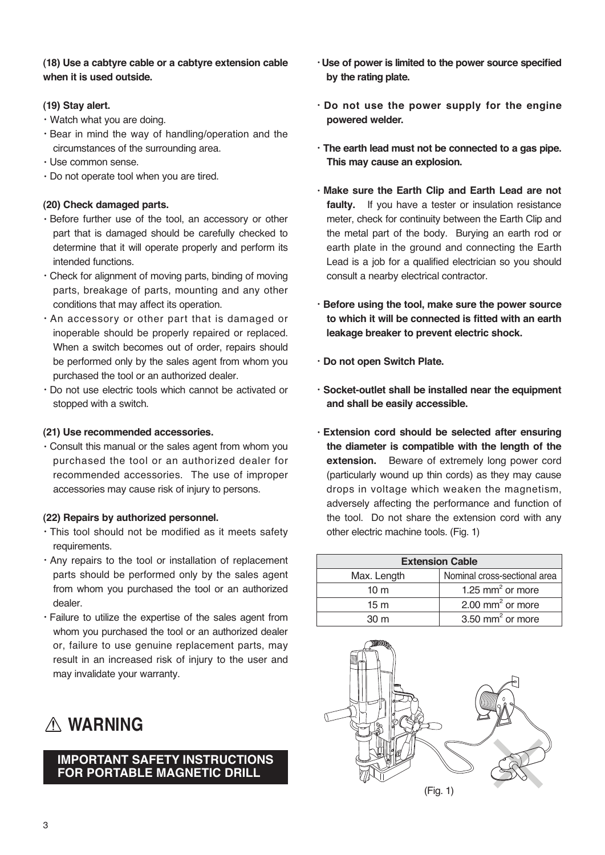#### **(18) Use a cabtyre cable or a cabtyre extension cable when it is used outside.**

#### **(19) Stay alert.**

- ・Watch what you are doing.
- ・Bear in mind the way of handling/operation and the circumstances of the surrounding area.
- ・Use common sense.
- ・Do not operate tool when you are tired.

#### **(20) Check damaged parts.**

- ・Before further use of the tool, an accessory or other part that is damaged should be carefully checked to determine that it will operate properly and perform its intended functions.
- ・Check for alignment of moving parts, binding of moving parts, breakage of parts, mounting and any other conditions that may affect its operation.
- ・An accessory or other part that is damaged or inoperable should be properly repaired or replaced. When a switch becomes out of order, repairs should be performed only by the sales agent from whom you purchased the tool or an authorized dealer.
- ・Do not use electric tools which cannot be activated or stopped with a switch.

#### **(21) Use recommended accessories.**

・Consult this manual or the sales agent from whom you purchased the tool or an authorized dealer for recommended accessories. The use of improper accessories may cause risk of injury to persons.

#### **(22) Repairs by authorized personnel.**

- ・This tool should not be modified as it meets safety requirements.
- ・Any repairs to the tool or installation of replacement parts should be performed only by the sales agent from whom you purchased the tool or an authorized dealer.
- ・Failure to utilize the expertise of the sales agent from whom you purchased the tool or an authorized dealer or, failure to use genuine replacement parts, may result in an increased risk of injury to the user and may invalidate your warranty.



#### **IMPORTANT SAFETY INSTRUCTIONS FOR PORTABLE MAGNETIC DRILL**

- ・**Use of power is limited to the power source specified by the rating plate.**
- ・**Do not use the power supply for the engine powered welder.**
- ・**The earth lead must not be connected to a gas pipe. This may cause an explosion.**
- ・**Make sure the Earth Clip and Earth Lead are not faulty.** If you have a tester or insulation resistance meter, check for continuity between the Earth Clip and the metal part of the body. Burying an earth rod or earth plate in the ground and connecting the Earth Lead is a job for a qualified electrician so you should consult a nearby electrical contractor.
- ・**Before using the tool, make sure the power source to which it will be connected is fitted with an earth leakage breaker to prevent electric shock.**
- ・**Do not open Switch Plate.**
- ・**Socket-outlet shall be installed near the equipment and shall be easily accessible.**
- ・**Extension cord should be selected after ensuring the diameter is compatible with the length of the extension.** Beware of extremely long power cord (particularly wound up thin cords) as they may cause drops in voltage which weaken the magnetism, adversely affecting the performance and function of the tool. Do not share the extension cord with any other electric machine tools. (Fig. 1)

| <b>Extension Cable</b> |                              |  |
|------------------------|------------------------------|--|
| Max. Length            | Nominal cross-sectional area |  |
| 10 <sub>m</sub>        | 1.25 mm <sup>2</sup> or more |  |
| 15 <sub>m</sub>        | 2.00 mm <sup>2</sup> or more |  |
| 30 m                   | 3.50 mm <sup>2</sup> or more |  |

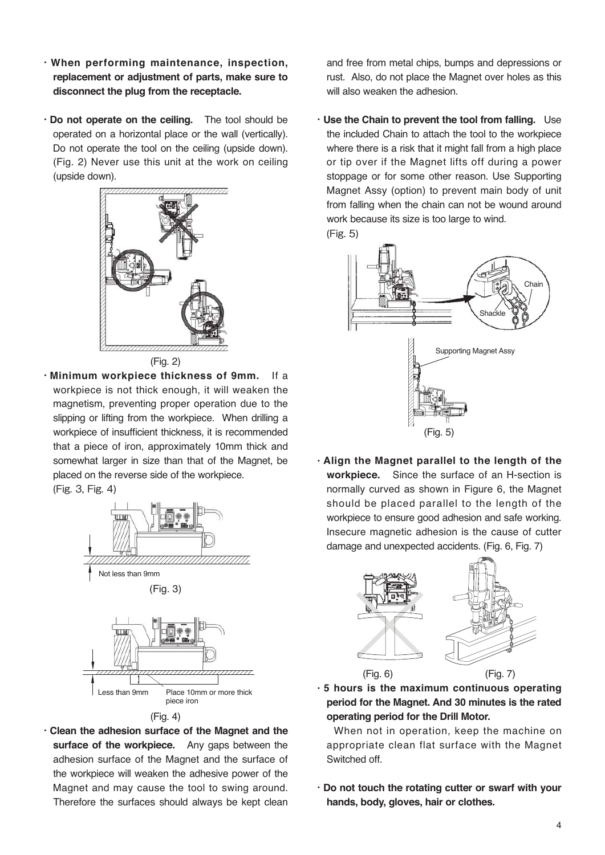- ・**When performing maintenance, inspection, replacement or adjustment of parts, make sure to disconnect the plug from the receptacle.**
- ・**Do not operate on the ceiling.** The tool should be operated on a horizontal place or the wall (vertically). Do not operate the tool on the ceiling (upside down). (Fig. 2) Never use this unit at the work on ceiling (upside down).





・**Minimum workpiece thickness of 9mm.** If a workpiece is not thick enough, it will weaken the magnetism, preventing proper operation due to the slipping or lifting from the workpiece. When drilling a workpiece of insufficient thickness, it is recommended that a piece of iron, approximately 10mm thick and somewhat larger in size than that of the Magnet, be placed on the reverse side of the workpiece.

(Fig. 3, Fig. 4)







・**Clean the adhesion surface of the Magnet and the surface of the workpiece.** Any gaps between the adhesion surface of the Magnet and the surface of the workpiece will weaken the adhesive power of the Magnet and may cause the tool to swing around. Therefore the surfaces should always be kept clean and free from metal chips, bumps and depressions or rust. Also, do not place the Magnet over holes as this will also weaken the adhesion.

・**Use the Chain to prevent the tool from falling.** Use the included Chain to attach the tool to the workpiece where there is a risk that it might fall from a high place or tip over if the Magnet lifts off during a power stoppage or for some other reason. Use Supporting Magnet Assy (option) to prevent main body of unit from falling when the chain can not be wound around work because its size is too large to wind. (Fig. 5)



・**Align the Magnet parallel to the length of the workpiece.** Since the surface of an H-section is normally curved as shown in Figure 6, the Magnet should be placed parallel to the length of the workpiece to ensure good adhesion and safe working. Insecure magnetic adhesion is the cause of cutter damage and unexpected accidents. (Fig. 6, Fig. 7)



・**5 hours is the maximum continuous operating period for the Magnet. And 30 minutes is the rated operating period for the Drill Motor.**

When not in operation, keep the machine on appropriate clean flat surface with the Magnet Switched off.

・**Do not touch the rotating cutter or swarf with your hands, body, gloves, hair or clothes.**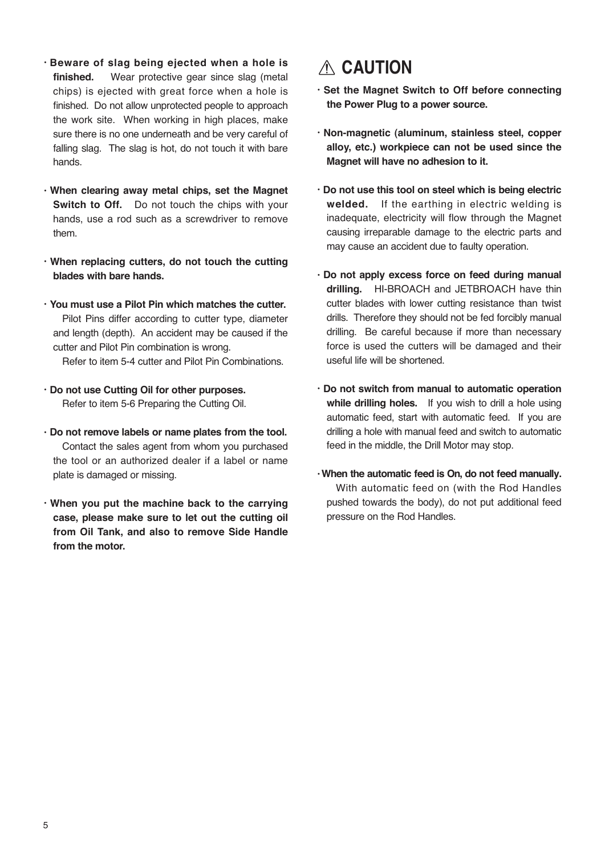- ・**Beware of slag being ejected when a hole is**  finished. Wear protective gear since slag (metal chips) is ejected with great force when a hole is finished. Do not allow unprotected people to approach the work site. When working in high places, make sure there is no one underneath and be very careful of falling slag. The slag is hot, do not touch it with bare hands.
- ・**When clearing away metal chips, set the Magnet Switch to Off.** Do not touch the chips with your hands, use a rod such as a screwdriver to remove them.
- ・**When replacing cutters, do not touch the cutting blades with bare hands.**
- ・**You must use a Pilot Pin which matches the cutter.** Pilot Pins differ according to cutter type, diameter and length (depth). An accident may be caused if the cutter and Pilot Pin combination is wrong. Refer to item 5-4 cutter and Pilot Pin Combinations.
- ・**Do not use Cutting Oil for other purposes.** Refer to item 5-6 Preparing the Cutting Oil.
- ・**Do not remove labels or name plates from the tool.** Contact the sales agent from whom you purchased the tool or an authorized dealer if a label or name plate is damaged or missing.
- ・**When you put the machine back to the carrying case, please make sure to let out the cutting oil from Oil Tank, and also to remove Side Handle from the motor.**

## **CAUTION**

- ・**Set the Magnet Switch to Off before connecting the Power Plug to a power source.**
- ・**Non-magnetic (aluminum, stainless steel, copper alloy, etc.) workpiece can not be used since the Magnet will have no adhesion to it.**
- ・**Do not use this tool on steel which is being electric welded.** If the earthing in electric welding is inadequate, electricity will flow through the Magnet causing irreparable damage to the electric parts and may cause an accident due to faulty operation.
- ・**Do not apply excess force on feed during manual drilling.** HI-BROACH and JETBROACH have thin cutter blades with lower cutting resistance than twist drills. Therefore they should not be fed forcibly manual drilling. Be careful because if more than necessary force is used the cutters will be damaged and their useful life will be shortened.
- ・**Do not switch from manual to automatic operation while drilling holes.** If you wish to drill a hole using automatic feed, start with automatic feed. If you are drilling a hole with manual feed and switch to automatic feed in the middle, the Drill Motor may stop.
- ・**When the automatic feed is On, do not feed manually.** With automatic feed on (with the Rod Handles pushed towards the body), do not put additional feed pressure on the Rod Handles.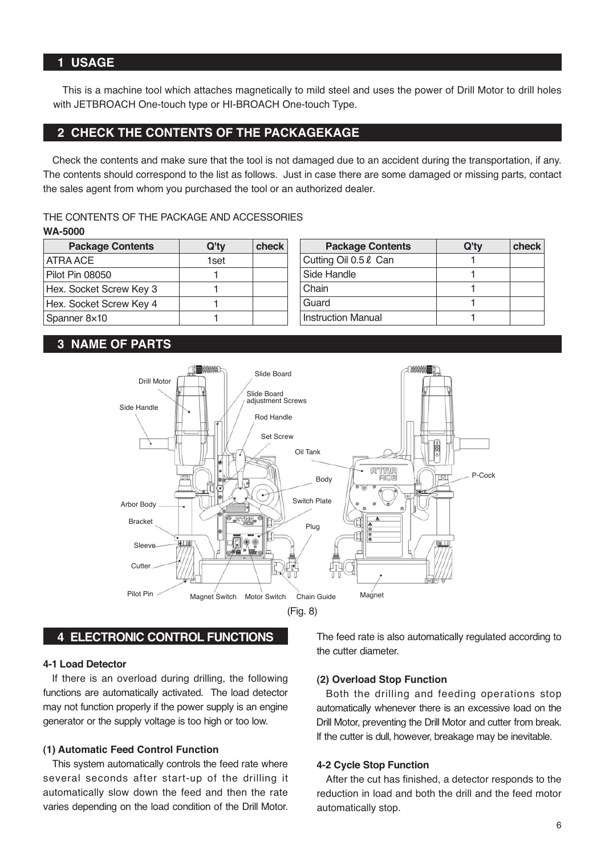This is a machine tool which attaches magnetically to mild steel and uses the power of Drill Motor to drill holes with JETBROACH One-touch type or HI-BROACH One-touch Type.

#### **2 CHECK THE CONTENTS OF THE PACKAGEKAGE**

Check the contents and make sure that the tool is not damaged due to an accident during the transportation, if any. The contents should correspond to the list as follows. Just in case there are some damaged or missing parts, contact the sales agent from whom you purchased the tool or an authorized dealer.

#### THE CONTENTS OF THE PACKAGE AND ACCESSORIES

| <b>Package Contents</b> | Q'ty | check |
|-------------------------|------|-------|
| ATRA ACE                | 1set |       |
| Pilot Pin 08050         |      |       |
| Hex. Socket Screw Key 3 |      |       |
| Hex. Socket Screw Key 4 |      |       |
| Spanner 8×10            |      |       |

| <b>Package Contents</b>   | Q'ty | check |
|---------------------------|------|-------|
| Cutting Oil 0.5 & Can     |      |       |
| Side Handle               |      |       |
| Chain                     |      |       |
| Guard                     |      |       |
| <b>Instruction Manual</b> |      |       |

#### **3 NAME OF PARTS**





#### **4 ELECTRONIC CONTROL FUNCTIONS**

#### **4-1 Load Detector**

If there is an overload during drilling, the following functions are automatically activated. The load detector may not function properly if the power supply is an engine generator or the supply voltage is too high or too low.

#### **(1) Automatic Feed Control Function**

This system automatically controls the feed rate where several seconds after start-up of the drilling it automatically slow down the feed and then the rate varies depending on the load condition of the Drill Motor.

The feed rate is also automatically regulated according to the cutter diameter.

#### **(2) Overload Stop Function**

Both the drilling and feeding operations stop automatically whenever there is an excessive load on the Drill Motor, preventing the Drill Motor and cutter from break. If the cutter is dull, however, breakage may be inevitable.

#### **4-2 Cycle Stop Function**

After the cut has finished, a detector responds to the reduction in load and both the drill and the feed motor automatically stop.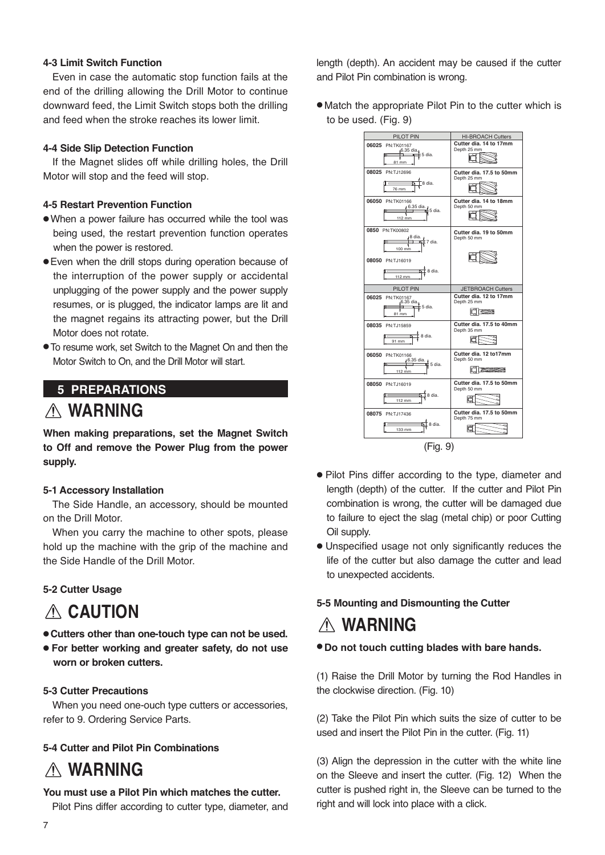#### **4-3 Limit Switch Function**

Even in case the automatic stop function fails at the end of the drilling allowing the Drill Motor to continue downward feed, the Limit Switch stops both the drilling and feed when the stroke reaches its lower limit.

#### **4-4 Side Slip Detection Function**

If the Magnet slides off while drilling holes, the Drill Motor will stop and the feed will stop.

#### **4-5 Restart Prevention Function**

- When a power failure has occurred while the tool was being used, the restart prevention function operates when the power is restored.
- Even when the drill stops during operation because of the interruption of the power supply or accidental unplugging of the power supply and the power supply resumes, or is plugged, the indicator lamps are lit and the magnet regains its attracting power, but the Drill Motor does not rotate.
- To resume work, set Switch to the Magnet On and then the Motor Switch to On, and the Drill Motor will start.

## **5 PREPARATIONS**

### **WARNING**

**When making preparations, set the Magnet Switch to Off and remove the Power Plug from the power supply.**

#### **5-1 Accessory Installation**

The Side Handle, an accessory, should be mounted on the Drill Motor.

When you carry the machine to other spots, please hold up the machine with the grip of the machine and the Side Handle of the Drill Motor.

#### **5-2 Cutter Usage**

## **CAUTION**

- **Cutters other than one-touch type can not be used.**
- **For better working and greater safety, do not use worn or broken cutters.**

#### **5-3 Cutter Precautions**

When you need one-ouch type cutters or accessories, refer to 9. Ordering Service Parts.

#### **5-4 Cutter and Pilot Pin Combinations**

## **WARNING**

#### **You must use a Pilot Pin which matches the cutter.**

Pilot Pins differ according to cutter type, diameter, and

length (depth). An accident may be caused if the cutter and Pilot Pin combination is wrong.

● Match the appropriate Pilot Pin to the cutter which is to be used. (Fig. 9)



- Pilot Pins differ according to the type, diameter and length (depth) of the cutter. If the cutter and Pilot Pin combination is wrong, the cutter will be damaged due to failure to eject the slag (metal chip) or poor Cutting Oil supply.
- Unspecified usage not only significantly reduces the life of the cutter but also damage the cutter and lead to unexpected accidents.

#### **5-5 Mounting and Dismounting the Cutter**

## **WARNING**

● **Do not touch cutting blades with bare hands.**

(1) Raise the Drill Motor by turning the Rod Handles in the clockwise direction. (Fig. 10)

(2) Take the Pilot Pin which suits the size of cutter to be used and insert the Pilot Pin in the cutter. (Fig. 11)

(3) Align the depression in the cutter with the white line on the Sleeve and insert the cutter. (Fig. 12) When the cutter is pushed right in, the Sleeve can be turned to the right and will lock into place with a click.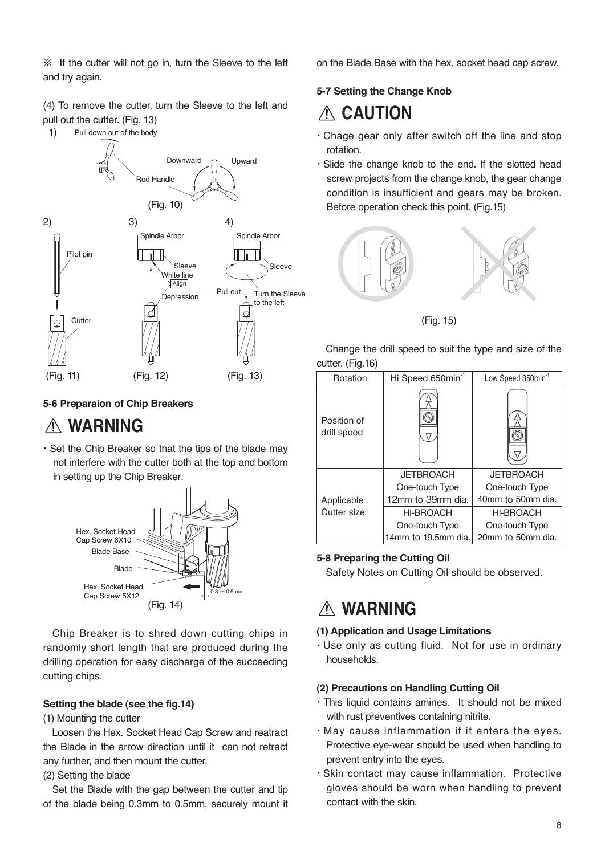※ If the cutter will not go in, turn the Sleeve to the left and try again.

(4) To remove the cutter, turn the Sleeve to the left and pull out the cutter. (Fig. 13)

1) Pull down out of the body



#### **5-6 Preparaion of Chip Breakers**

## **WARNING**

・Set the Chip Breaker so that the tips of the blade may not interfere with the cutter both at the top and bottom in setting up the Chip Breaker.



Chip Breaker is to shred down cutting chips in randomly short length that are produced during the drilling operation for easy discharge of the succeeding cutting chips.

#### **Setting the blade (see the fig.14)**

(1) Mounting the cutter

Loosen the Hex. Socket Head Cap Screw and reatract the Blade in the arrow direction until it can not retract any further, and then mount the cutter.

(2) Setting the blade

Set the Blade with the gap between the cutter and tip of the blade being 0.3mm to 0.5mm, securely mount it on the Blade Base with the hex. socket head cap screw.

#### **5-7 Setting the Change Knob**

## **CAUTION**

- ・Chage gear only after switch off the line and stop rotation.
- ・Slide the change knob to the end. If the slotted head screw projects from the change knob, the gear change condition is insufficient and gears may be broken. Before operation check this point. (Fig.15)



(Fig. 15)

Change the drill speed to suit the type and size of the cutter. (Fig.16)

| Rotation                   | Hi Speed 650min <sup>-1</sup> | Low Speed 350min <sup>-1</sup> |
|----------------------------|-------------------------------|--------------------------------|
| Position of<br>drill speed |                               |                                |
|                            | <b>JETBROACH</b>              | <b>JETBROACH</b>               |
|                            | One-touch Type                | One-touch Type                 |
| Applicable                 | 12mm to 39mm dia.             | 40mm to 50mm dia.              |
| Cutter size                | <b>HI-BROACH</b>              | <b>HI-BROACH</b>               |
|                            | One-touch Type                | One-touch Type                 |
|                            | 14mm to 19.5mm dia.           | 20mm to 50mm dia.              |

#### **5-8 Preparing the Cutting Oil**

Safety Notes on Cutting Oil should be observed.

## **WARNING**

#### **(1) Application and Usage Limitations**

・Use only as cutting fluid. Not for use in ordinary households.

#### **(2) Precautions on Handling Cutting Oil**

- ・This liquid contains amines. It should not be mixed with rust preventives containing nitrite.
- ・May cause inflammation if it enters the eyes. Protective eye-wear should be used when handling to prevent entry into the eyes.
- ・Skin contact may cause inflammation. Protective gloves should be worn when handling to prevent contact with the skin.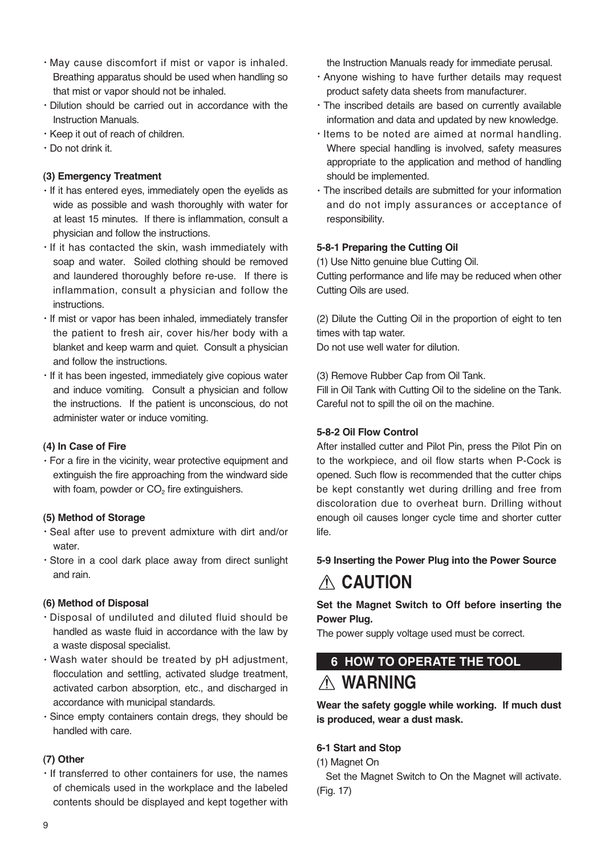- ・May cause discomfort if mist or vapor is inhaled. Breathing apparatus should be used when handling so that mist or vapor should not be inhaled.
- ・Dilution should be carried out in accordance with the Instruction Manuals.
- ・Keep it out of reach of children.
- ・Do not drink it.

#### **(3) Emergency Treatment**

- ・If it has entered eyes, immediately open the eyelids as wide as possible and wash thoroughly with water for at least 15 minutes. If there is inflammation, consult a physician and follow the instructions.
- ・If it has contacted the skin, wash immediately with soap and water. Soiled clothing should be removed and laundered thoroughly before re-use. If there is inflammation, consult a physician and follow the instructions.
- ・If mist or vapor has been inhaled, immediately transfer the patient to fresh air, cover his/her body with a blanket and keep warm and quiet. Consult a physician and follow the instructions.
- ・If it has been ingested, immediately give copious water and induce vomiting. Consult a physician and follow the instructions. If the patient is unconscious, do not administer water or induce vomiting.

#### **(4) In Case of Fire**

・For a fire in the vicinity, wear protective equipment and extinguish the fire approaching from the windward side with foam, powder or  $CO<sub>2</sub>$  fire extinguishers.

#### **(5) Method of Storage**

- ・Seal after use to prevent admixture with dirt and/or water.
- ・Store in a cool dark place away from direct sunlight and rain.

#### **(6) Method of Disposal**

- ・Disposal of undiluted and diluted fluid should be handled as waste fluid in accordance with the law by a waste disposal specialist.
- ・Wash water should be treated by pH adjustment, flocculation and settling, activated sludge treatment, activated carbon absorption, etc., and discharged in accordance with municipal standards.
- ・Since empty containers contain dregs, they should be handled with care.

#### **(7) Other**

・If transferred to other containers for use, the names of chemicals used in the workplace and the labeled contents should be displayed and kept together with the Instruction Manuals ready for immediate perusal.

- ・Anyone wishing to have further details may request product safety data sheets from manufacturer.
- ・The inscribed details are based on currently available information and data and updated by new knowledge.
- ・Items to be noted are aimed at normal handling. Where special handling is involved, safety measures appropriate to the application and method of handling should be implemented.
- ・The inscribed details are submitted for your information and do not imply assurances or acceptance of responsibility.

#### **5-8-1 Preparing the Cutting Oil**

(1) Use Nitto genuine blue Cutting Oil.

Cutting performance and life may be reduced when other Cutting Oils are used.

(2) Dilute the Cutting Oil in the proportion of eight to ten times with tap water.

Do not use well water for dilution.

(3) Remove Rubber Cap from Oil Tank.

Fill in Oil Tank with Cutting Oil to the sideline on the Tank. Careful not to spill the oil on the machine.

#### **5-8-2 Oil Flow Control**

After installed cutter and Pilot Pin, press the Pilot Pin on to the workpiece, and oil flow starts when P-Cock is opened. Such flow is recommended that the cutter chips be kept constantly wet during drilling and free from discoloration due to overheat burn. Drilling without enough oil causes longer cycle time and shorter cutter life.

#### **5-9 Inserting the Power Plug into the Power Source**

## **CAUTION**

#### **Set the Magnet Switch to Off before inserting the Power Plug.**

The power supply voltage used must be correct.

## **6 HOW TO OPERATE THE TOOL WARNING**

**Wear the safety goggle while working. If much dust is produced, wear a dust mask.**

#### **6-1 Start and Stop**

(1) Magnet On

Set the Magnet Switch to On the Magnet will activate. (Fig. 17)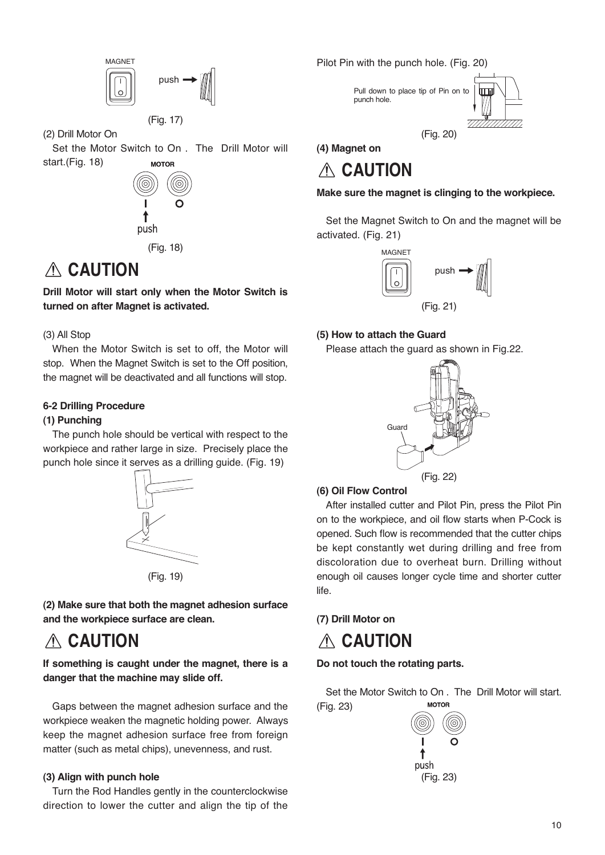

(Fig. 17)

(2) Drill Motor On

Set the Motor Switch to On . The Drill Motor will start.(Fig. 18) **MOTOR** 



(Fig. 18)

## **CAUTION**

**Drill Motor will start only when the Motor Switch is turned on after Magnet is activated.**

#### (3) All Stop

When the Motor Switch is set to off, the Motor will stop. When the Magnet Switch is set to the Off position, the magnet will be deactivated and all functions will stop.

#### **6-2 Drilling Procedure**

#### **(1) Punching**

The punch hole should be vertical with respect to the workpiece and rather large in size. Precisely place the punch hole since it serves as a drilling guide. (Fig. 19)





**(2) Make sure that both the magnet adhesion surface and the workpiece surface are clean.**

## **CAUTION**

**If something is caught under the magnet, there is a danger that the machine may slide off.**

Gaps between the magnet adhesion surface and the workpiece weaken the magnetic holding power. Always keep the magnet adhesion surface free from foreign matter (such as metal chips), unevenness, and rust.

#### **(3) Align with punch hole**

Turn the Rod Handles gently in the counterclockwise direction to lower the cutter and align the tip of the Pilot Pin with the punch hole. (Fig. 20)



**(4) Magnet on**

## **CAUTION**

**Make sure the magnet is clinging to the workpiece.**

Set the Magnet Switch to On and the magnet will be activated. (Fig. 21)



#### **(5) How to attach the Guard**

Please attach the guard as shown in Fig.22.



#### **(6) Oil Flow Control**

After installed cutter and Pilot Pin, press the Pilot Pin on to the workpiece, and oil flow starts when P-Cock is opened. Such flow is recommended that the cutter chips be kept constantly wet during drilling and free from discoloration due to overheat burn. Drilling without enough oil causes longer cycle time and shorter cutter life.

#### **(7) Drill Motor on**

## **CAUTION**

#### **Do not touch the rotating parts.**

Set the Motor Switch to On . The Drill Motor will start. **MOTOR** (Fig. 23)

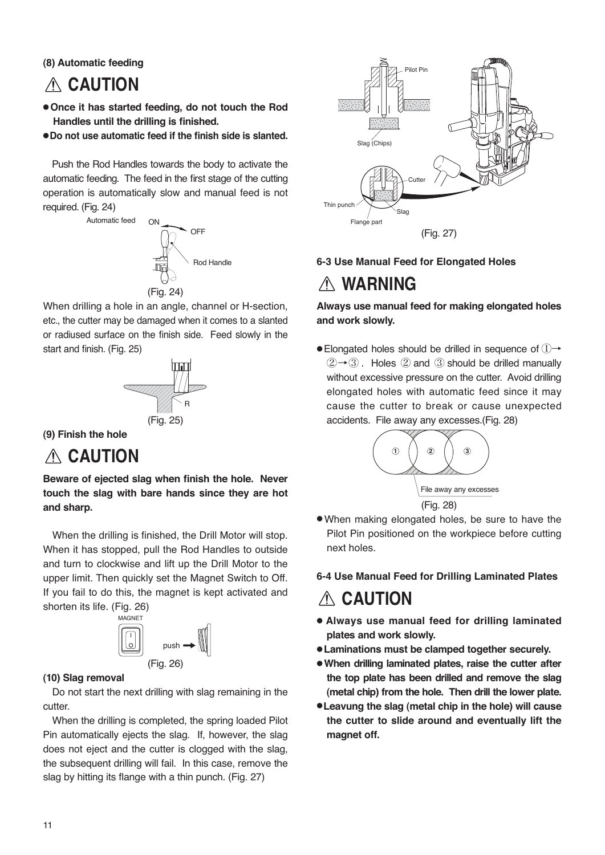**(8) Automatic feeding**

## **CAUTION**

- **Once it has started feeding, do not touch the Rod Handles until the drilling is finished.**
- ●**Do not use automatic feed if the finish side is slanted.**

Push the Rod Handles towards the body to activate the automatic feeding. The feed in the first stage of the cutting operation is automatically slow and manual feed is not required. (Fig. 24)



When drilling a hole in an angle, channel or H-section, etc., the cutter may be damaged when it comes to a slanted or radiused surface on the finish side. Feed slowly in the start and finish. (Fig. 25)



**(9) Finish the hole**

## **CAUTION**

**Beware of ejected slag when finish the hole. Never touch the slag with bare hands since they are hot and sharp.**

When the drilling is finished, the Drill Motor will stop. When it has stopped, pull the Rod Handles to outside and turn to clockwise and lift up the Drill Motor to the upper limit. Then quickly set the Magnet Switch to Off. If you fail to do this, the magnet is kept activated and shorten its life. (Fig. 26)



#### **(10) Slag removal**

Do not start the next drilling with slag remaining in the cutter.

When the drilling is completed, the spring loaded Pilot Pin automatically ejects the slag. If, however, the slag does not eject and the cutter is clogged with the slag, the subsequent drilling will fail. In this case, remove the slag by hitting its flange with a thin punch. (Fig. 27)



#### **6-3 Use Manual Feed for Elongated Holes**

## **WARNING**

**Always use manual feed for making elongated holes and work slowly.**

● Elongated holes should be drilled in sequence of ①→  $(2) \rightarrow (3)$ . Holes  $(2)$  and  $(3)$  should be drilled manually without excessive pressure on the cutter. Avoid drilling elongated holes with automatic feed since it may cause the cutter to break or cause unexpected accidents. File away any excesses.(Fig. 28)



● When making elongated holes, be sure to have the Pilot Pin positioned on the workpiece before cutting next holes.

#### **6-4 Use Manual Feed for Drilling Laminated Plates**

## **CAUTION**

- **Always use manual feed for drilling laminated plates and work slowly.**
- **Laminations must be clamped together securely.**
- **When drilling laminated plates, raise the cutter after the top plate has been drilled and remove the slag (metal chip) from the hole. Then drill the lower plate.**
- ●**Leavung the slag (metal chip in the hole) will cause the cutter to slide around and eventually lift the magnet off.**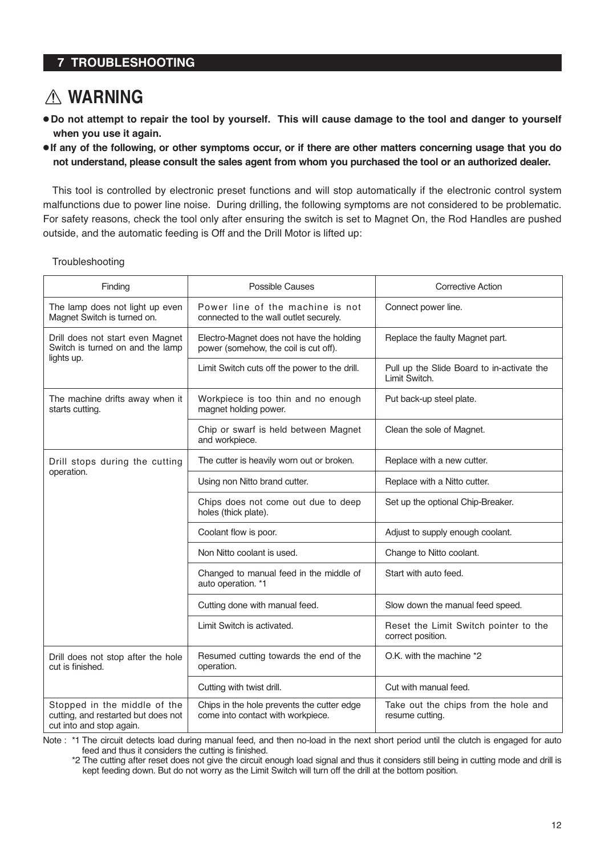#### **7 TROUBLESHOOTING**

## **WARNING**

- **Do not attempt to repair the tool by yourself. This will cause damage to the tool and danger to yourself when you use it again.**
- **If any of the following, or other symptoms occur, or if there are other matters concerning usage that you do not understand, please consult the sales agent from whom you purchased the tool or an authorized dealer.**

This tool is controlled by electronic preset functions and will stop automatically if the electronic control system malfunctions due to power line noise. During drilling, the following symptoms are not considered to be problematic. For safety reasons, check the tool only after ensuring the switch is set to Magnet On, the Rod Handles are pushed outside, and the automatic feeding is Off and the Drill Motor is lifted up:

**Troubleshooting** 

| Finding                                                                                         | <b>Possible Causes</b>                                                            | Corrective Action                                           |
|-------------------------------------------------------------------------------------------------|-----------------------------------------------------------------------------------|-------------------------------------------------------------|
| The lamp does not light up even<br>Magnet Switch is turned on.                                  | Power line of the machine is not<br>connected to the wall outlet securely.        | Connect power line.                                         |
| Drill does not start even Magnet<br>Switch is turned on and the lamp                            | Electro-Magnet does not have the holding<br>power (somehow, the coil is cut off). | Replace the faulty Magnet part.                             |
| lights up.                                                                                      | Limit Switch cuts off the power to the drill.                                     | Pull up the Slide Board to in-activate the<br>Limit Switch. |
| The machine drifts away when it<br>starts cutting.                                              | Workpiece is too thin and no enough<br>magnet holding power.                      | Put back-up steel plate.                                    |
|                                                                                                 | Chip or swarf is held between Magnet<br>and workpiece.                            | Clean the sole of Magnet.                                   |
| Drill stops during the cutting                                                                  | The cutter is heavily worn out or broken.                                         | Replace with a new cutter.                                  |
| operation.                                                                                      | Using non Nitto brand cutter.                                                     | Replace with a Nitto cutter.                                |
|                                                                                                 | Chips does not come out due to deep<br>holes (thick plate).                       | Set up the optional Chip-Breaker.                           |
|                                                                                                 | Coolant flow is poor.                                                             | Adjust to supply enough coolant.                            |
|                                                                                                 | Non Nitto coolant is used.                                                        | Change to Nitto coolant.                                    |
|                                                                                                 | Changed to manual feed in the middle of<br>auto operation. *1                     | Start with auto feed.                                       |
|                                                                                                 | Cutting done with manual feed.                                                    | Slow down the manual feed speed.                            |
|                                                                                                 | Limit Switch is activated.                                                        | Reset the Limit Switch pointer to the<br>correct position.  |
| Drill does not stop after the hole<br>cut is finished.                                          | Resumed cutting towards the end of the<br>operation.                              | O.K. with the machine *2                                    |
|                                                                                                 | Cutting with twist drill.                                                         | Cut with manual feed.                                       |
| Stopped in the middle of the<br>cutting, and restarted but does not<br>cut into and stop again. | Chips in the hole prevents the cutter edge<br>come into contact with workpiece.   | Take out the chips from the hole and<br>resume cutting.     |

Note : \*1 The circuit detects load during manual feed, and then no-load in the next short period until the clutch is engaged for auto feed and thus it considers the cutting is finished.

 <sup>\*2</sup> The cutting after reset does not give the circuit enough load signal and thus it considers still being in cutting mode and drill is kept feeding down. But do not worry as the Limit Switch will turn off the drill at the bottom position.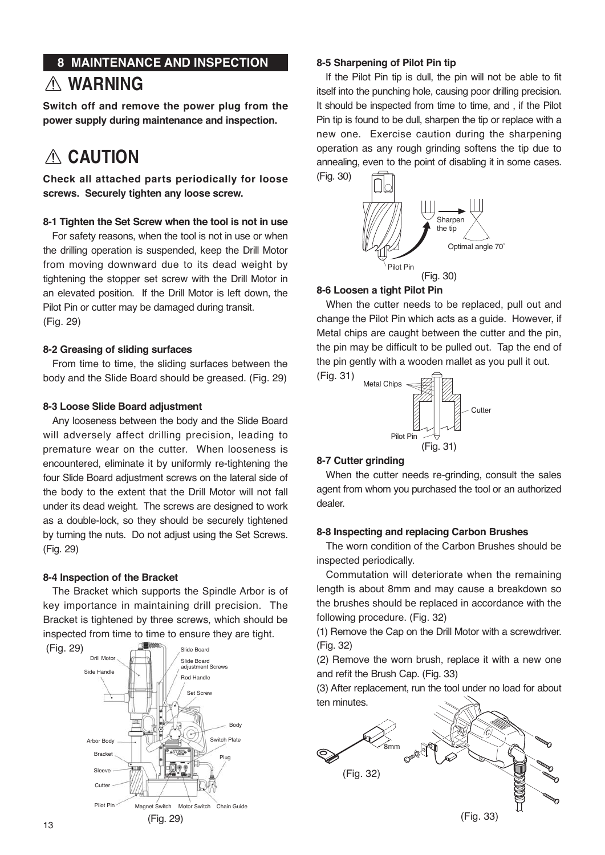## **8 MAINTENANCE AND INSPECTION WARNING**

**Switch off and remove the power plug from the power supply during maintenance and inspection.**

## **CAUTION**

**Check all attached parts periodically for loose screws. Securely tighten any loose screw.**

#### **8-1 Tighten the Set Screw when the tool is not in use**

For safety reasons, when the tool is not in use or when the drilling operation is suspended, keep the Drill Motor from moving downward due to its dead weight by tightening the stopper set screw with the Drill Motor in an elevated position. If the Drill Motor is left down, the Pilot Pin or cutter may be damaged during transit. (Fig. 29)

#### **8-2 Greasing of sliding surfaces**

From time to time, the sliding surfaces between the body and the Slide Board should be greased. (Fig. 29)

#### **8-3 Loose Slide Board adjustment**

Any looseness between the body and the Slide Board will adversely affect drilling precision, leading to premature wear on the cutter. When looseness is encountered, eliminate it by uniformly re-tightening the four Slide Board adjustment screws on the lateral side of the body to the extent that the Drill Motor will not fall under its dead weight. The screws are designed to work as a double-lock, so they should be securely tightened by turning the nuts. Do not adjust using the Set Screws. (Fig. 29)

#### **8-4 Inspection of the Bracket**

The Bracket which supports the Spindle Arbor is of key importance in maintaining drill precision. The Bracket is tightened by three screws, which should be inspected from time to time to ensure they are tight.



#### **8-5 Sharpening of Pilot Pin tip**

If the Pilot Pin tip is dull, the pin will not be able to fit itself into the punching hole, causing poor drilling precision. It should be inspected from time to time, and , if the Pilot Pin tip is found to be dull, sharpen the tip or replace with a new one. Exercise caution during the sharpening operation as any rough grinding softens the tip due to annealing, even to the point of disabling it in some cases.



#### **8-6 Loosen a tight Pilot Pin**

When the cutter needs to be replaced, pull out and change the Pilot Pin which acts as a guide. However, if Metal chips are caught between the cutter and the pin, the pin may be difficult to be pulled out. Tap the end of the pin gently with a wooden mallet as you pull it out.



#### **8-7 Cutter grinding**

(Fig. 31)

When the cutter needs re-grinding, consult the sales agent from whom you purchased the tool or an authorized dealer.

#### **8-8 Inspecting and replacing Carbon Brushes**

The worn condition of the Carbon Brushes should be inspected periodically.

Commutation will deteriorate when the remaining length is about 8mm and may cause a breakdown so the brushes should be replaced in accordance with the following procedure. (Fig. 32)

(1) Remove the Cap on the Drill Motor with a screwdriver. (Fig. 32)

(2) Remove the worn brush, replace it with a new one and refit the Brush Cap. (Fig. 33)

(3) After replacement, run the tool under no load for about ten minutes.

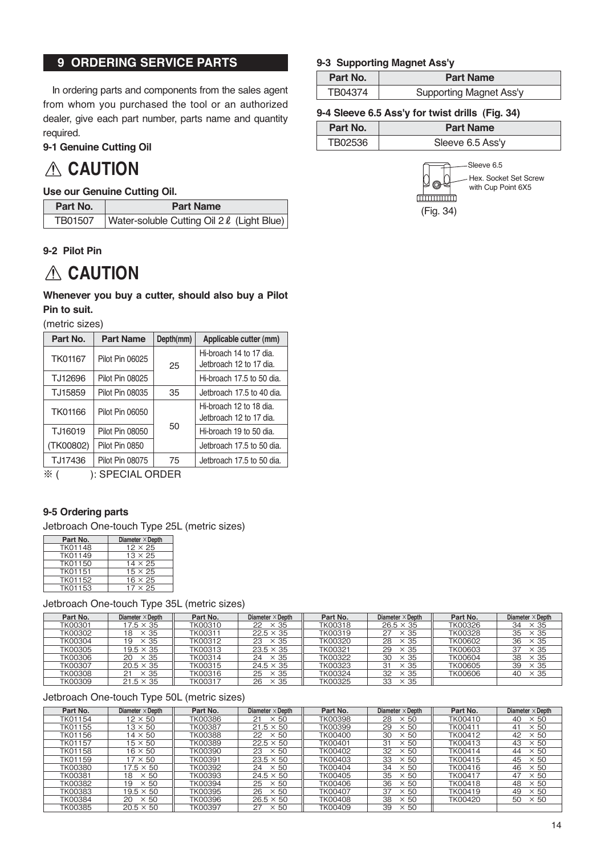#### **9 ORDERING SERVICE PARTS**

In ordering parts and components from the sales agent from whom you purchased the tool or an authorized dealer, give each part number, parts name and quantity required.

#### **9-1 Genuine Cutting Oil**

## **CAUTION**

#### **Use our Genuine Cutting Oil.**

| Part No. | <b>Part Name</b>                           |  |
|----------|--------------------------------------------|--|
| TB01507  | Water-soluble Cutting Oil 2 & (Light Blue) |  |

#### **9-2 Pilot Pin**

## **CAUTION**

#### **Whenever you buy a cutter, should also buy a Pilot Pin to suit.**

(metric sizes)

| Part No.       | <b>Part Name</b> | Depth(mm) | Applicable cutter (mm)    |  |  |  |  |  |  |  |
|----------------|------------------|-----------|---------------------------|--|--|--|--|--|--|--|
| <b>TK01167</b> | Pilot Pin 06025  |           | Hi-broach 14 to 17 dia.   |  |  |  |  |  |  |  |
|                |                  | 25        | Jetbroach 12 to 17 dia.   |  |  |  |  |  |  |  |
| TJ12696        | Pilot Pin 08025  |           | Hi-broach 17.5 to 50 dia. |  |  |  |  |  |  |  |
| TJ15859        | Pilot Pin 08035  | 35        | Jetbroach 17.5 to 40 dia. |  |  |  |  |  |  |  |
| <b>TK01166</b> | Pilot Pin 06050  |           | Hi-broach 12 to 18 dia.   |  |  |  |  |  |  |  |
|                |                  |           | Jetbroach 12 to 17 dia.   |  |  |  |  |  |  |  |
| TJ16019        | Pilot Pin 08050  | 50        | Hi-broach 19 to 50 dia.   |  |  |  |  |  |  |  |
| (TK00802)      | Pilot Pin 0850   |           | Jetbroach 17.5 to 50 dia. |  |  |  |  |  |  |  |
| TJ17436        | Pilot Pin 08075  | 75        | Jetbroach 17.5 to 50 dia. |  |  |  |  |  |  |  |

※ ( ): SPECIAL ORDER

#### **9-5 Ordering parts**

Jetbroach One-touch Type 25L (metric sizes)

| Part No.       | Diameter $\times$ Depth |
|----------------|-------------------------|
| <b>TK01148</b> | $12 \times 25$          |
| TK01149        | $13 \times 25$          |
| <b>TK01150</b> | $14 \times 25$          |
| TK01151        | $15 \times 25$          |
| <b>TK01152</b> | $16 \times 25$          |
| TK01153        | $17 \times 25$          |

Jetbroach One-touch Type 35L (metric sizes)

| Part No.       | Diameter $\times$ Depth | Part No. | Diameter $\times$ Depth | Part No. | Diameter $\times$ Depth | Part No.       | Diameter $\times$ Depth |
|----------------|-------------------------|----------|-------------------------|----------|-------------------------|----------------|-------------------------|
| TK00301        | $17.5 \times 35$        | TK00310  | $22 \times 35$          | TK00318  | $26.5 \times 35$        | TK00326        | $\times$ 35<br>34       |
| <b>TK00302</b> | $\times$ 35<br>18       | TK00311  | $22.5 \times 35$        | TK00319  | 27<br>$\times$ 35       | <b>TK00328</b> | $\times$ 35<br>35       |
| <b>TK00304</b> | 19<br>$\times$ 35       | TK00312  | $23 \times 35$          | TK00320  | 28<br>$\times$ 35       | TK00602        | $\times$ 35<br>36       |
| <b>TK00305</b> | $19.5 \times 35$        | TK00313  | $23.5 \times 35$        | TK00321  | 29<br>$\times$ 35       | <b>TK00603</b> | $\times$ 35<br>37       |
| <b>TK00306</b> | $\times$ 35<br>20       | TK00314  | × 35<br>24              | TK00322  | 30<br>$\times$ 35       | <b>TK00604</b> | $\times$ 35<br>38       |
| <b>TK00307</b> | $20.5 \times 35$        | TK00315  | $24.5 \times 35$        | TK00323  | 31<br>$\times$ 35       | <b>TK00605</b> | $\times$ 35<br>39       |
| <b>TK00308</b> | $\times$ 35<br>21       | TK00316  | $\times$ 35<br>25       | TK00324  | 32<br>$\times$ 35       | <b>TK00606</b> | $\times$ 35<br>40       |
| <b>TK00309</b> | $21.5 \times 35$        | TK00317  | $\times$ 35<br>26       | TK00325  | 33<br>$\times$ 35       |                |                         |

#### Jetbroach One-touch Type 50L (metric sizes)

| Part No.       | Diameter $\times$ Depth | Part No.       | Diameter $\times$ Depth | Part No. | Diameter $\times$ Depth | Part No. | Diameter $\times$ Depth |
|----------------|-------------------------|----------------|-------------------------|----------|-------------------------|----------|-------------------------|
| TK01154        | $12 \times 50$          | TK00386        | $\times 50$             | TK00398  | 28<br>$\times 50$       | TK00410  | $\times 50$<br>40       |
| TK01155        | $13 \times 50$          | <b>TK00387</b> | $21.5 \times 50$        | TK00399  | 29<br>$\times$ 50       | TK00411  | $\times 50$<br>41       |
| TK01156        | $14 \times 50$          | TK00388        | 22<br>$\times$ 50       | TK00400  | 30<br>$\times$ 50       | TK00412  | 42<br>$\times 50$       |
| TK01157        | $15 \times 50$          | <b>TK00389</b> | $22.5 \times 50$        | TK00401  | 31<br>$\times$ 50       | TK00413  | 43<br>$\times 50$       |
| TK01158        | $16 \times 50$          | TK00390        | $\times$ 50<br>23       | TK00402  | 32<br>$\times 50$       | TK00414  | $\times$ 50<br>44       |
| TK01159        | $17 \times 50$          | TK00391        | $23.5 \times 50$        | TK00403  | 33<br>$\times$ 50       | TK00415  | 45<br>$\times$ 50       |
| <b>TK00380</b> | $17.5 \times 50$        | <b>TK00392</b> | 24<br>$\times$ 50       | TK00404  | 34<br>$\times$ 50       | TK00416  | 46<br>$\times 50$       |
| TK00381        | $\times 50$<br>18       | TK00393        | $24.5 \times 50$        | TK00405  | 35<br>$\times$ 50       | TK00417  | $\times 50$<br>47       |
| <b>TK00382</b> | 19<br>$\times$ 50       | TK00394        | $\times$ 50<br>25       | TK00406  | 36<br>$\times$ 50       | TK00418  | 48<br>$\times 50$       |
| TK00383        | $19.5 \times 50$        | TK00395        | 26<br>$\times$ 50       | TK00407  | 37<br>$\times$ 50       | TK00419  | 49<br>$\times 50$       |
| TK00384        | $\times$ 50<br>20       | TK00396        | $26.5 \times 50$        | TK00408  | 38<br>$\times 50$       | TK00420  | 50<br>$\times$ 50       |
| TK00385        | $20.5 \times 50$        | TK00397        | 27<br>$\times 50$       | TK00409  | 39<br>$\times 50$       |          |                         |

#### **9-3 Supporting Magnet Ass'y**

| Part No. | <b>Part Name</b>               |
|----------|--------------------------------|
| TB04374  | <b>Supporting Magnet Ass'y</b> |

#### **9-4 Sleeve 6.5 Ass'y for twist drills (Fig. 34)**

| Part No. | <b>Part Name</b> |
|----------|------------------|
| TB02536  | Sleeve 6.5 Ass'y |



Sleeve 6.5 Hex. Socket Set Screw with Cup Point 6X5

14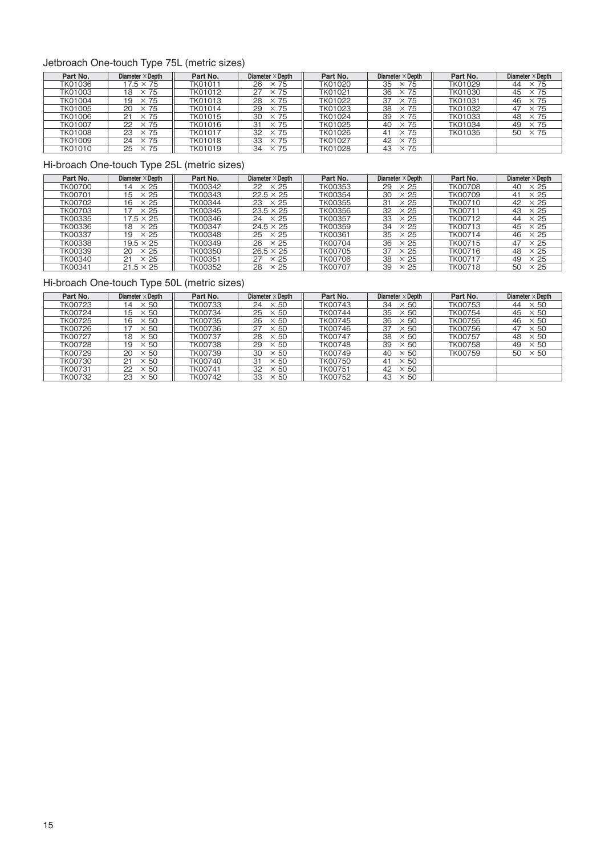#### Jetbroach One-touch Type 75L (metric sizes)

| Part No.       | Diameter $\times$ Depth | Part No.       | Diameter $\times$ Depth | Part No.       | Diameter $\times$ Depth | Part No.       | Diameter $\times$ Depth |
|----------------|-------------------------|----------------|-------------------------|----------------|-------------------------|----------------|-------------------------|
| TK01036        | $17.5 \times 75$        | TK01011        | $\times 75$<br>26       | <b>TK01020</b> | 35<br>$\times$ 75       | TK01029        | $\times 75$<br>44       |
| TK01003        | $\times$ 75<br>18       | TK01012        | $\times$ 75             | TK01021        | 36<br>$\times$ 75       | TK01030        | $\times 75$<br>45       |
| <b>TK01004</b> | $\times 75$<br>19       | TK01013        | $\times$ 75<br>28       | <b>TK01022</b> | 37<br>$\times$ 75       | <b>TK01031</b> | $\times 75$<br>46       |
| TK01005        | $\times 75$<br>20       | TK01014        | $\times$ 75<br>29       | TK01023        | 38<br>$\times$ 75       | TK01032        | $\times 75$<br>47       |
| TK01006        | $\times 75$<br>21       | TK01015        | 30<br>$\times$ 75       | TK01024        | 39<br>$\times$ 75       | TK01033        | $\times$ 75<br>48       |
| <b>TK01007</b> | $\times$ 75<br>22       | TK01016        | $\times 75$<br>31       | TK01025        | 40<br>$\times$ 75       | TK01034        | $\times 75$<br>49       |
| <b>TK01008</b> | 23<br>$\times 75$       | <b>TK01017</b> | 32<br>$\times 75$       | <b>TK01026</b> | $\times$ 75<br>41       | TK01035        | $\times 75$<br>50       |
| TK01009        | $\times 75$<br>24       | TK01018        | 33<br>$\times$ 75       | TK01027        | $\times$ 75<br>42       |                |                         |
| <b>TK01010</b> | $\times 75$<br>25       | TK01019        | $\times$ 75<br>34       | <b>TK01028</b> | $\times$ 75<br>43       |                |                         |

#### Hi-broach One-touch Type 25L (metric sizes)

| Part No.       | Diameter $\times$ Depth       | Part No.       | Diameter $\times$ Depth | Part No.       | Diameter $\times$ Depth | Part No.       | Diameter $\times$ Depth |
|----------------|-------------------------------|----------------|-------------------------|----------------|-------------------------|----------------|-------------------------|
| <b>TK00700</b> | $\times 25$<br>$\overline{4}$ | TK00342        | $\times 25$<br>22       | TK00353        | 29<br>$\times 25$       | TK00708        | $\times 25$<br>40       |
| TK00701        | '5<br>$\times 25$             | TK00343        | $22.5 \times 25$        | TK00354        | 30<br>$\times 25$       | TK00709        | $\times 25$<br>41       |
| <b>TK00702</b> | $\times 25$<br>16             | TK00344        | $\times 25$<br>23       | TK00355        | 31<br>$\times 25$       | <b>TK00710</b> | $\times 25$<br>42       |
| TK00703        | $\times 25$                   | TK00345        | $23.5 \times 25$        | TK00356        | 32<br>$\times 25$       | TK00711        | $\times 25$<br>43       |
| TK00335        | $17.5 \times 25$              | TK00346        | $\times 25$<br>24       | <b>TK00357</b> | 33<br>$\times 25$       | TK00712        | $\times 25$<br>44       |
| TK00336        | $\times 25$<br>18             | <b>TK00347</b> | $24.5 \times 25$        | TK00359        | 34<br>$\times 25$       | TK00713        | $\times 25$<br>45       |
| <b>TK00337</b> | $\times 25$<br>19             | TK00348        | $\times 25$<br>25       | TK00361        | 35<br>$\times 25$       | TK00714        | $\times 25$<br>46       |
| <b>TK00338</b> | $19.5 \times 25$              | TK00349        | $\times 25$<br>26       | TK00704        | 36<br>$\times 25$       | TK00715        | 47<br>$\times 25$       |
| TK00339        | 20<br>$\times 25$             | TK00350        | $26.5 \times 25$        | <b>TK00705</b> | 37<br>$\times 25$       | TK00716        | $\times 25$<br>48       |
| TK00340        | $\times 25$<br>21             | TK00351        | $\times 25$<br>27       | <b>TK00706</b> | 38<br>$\times 25$       | TK00717        | $\times 25$<br>49       |
| TK00341        | $21.5 \times 25$              | TK00352        | 28<br>$\times 25$       | TK00707        | 39<br>$\times 25$       | TK00718        | 50<br>$\times 25$       |

#### Hi-broach One-touch Type 50L (metric sizes)

| Part No.       | Diameter $\times$ Depth | Part No. | Diameter $\times$ Depth | Part No.       | Diameter $\times$ Depth |                |                   |
|----------------|-------------------------|----------|-------------------------|----------------|-------------------------|----------------|-------------------|
| <b>TK00723</b> | 50<br>$\overline{4}$    | TK00733  | $\times$ 50<br>24       | TK00743        | 34<br>$\times 50$       | TK00753        | $\times$ 50<br>44 |
| TK00724        | $\times 50$<br>15       | TK00734  | $\times$ 50<br>25       | TK00744        | 35<br>$\times$ 50       | <b>TK00754</b> | 45<br>$\times$ 50 |
| <b>TK00725</b> | $\times$ 50<br>16       | TK00735  | 26<br>$\times$ 50       | <b>TK00745</b> | 36<br>$\times$ 50       | <b>TK00755</b> | $\times$ 50<br>46 |
| <b>TK00726</b> | $\times 50$             | TK00736  | 27<br>$\times 50$       | <b>TK00746</b> | 37<br>$\times 50$       | <b>TK00756</b> | 47<br>$\times$ 50 |
| TK00727        | $\times$ 50<br>18       | TK00737  | $\times$ 50<br>28       | TK00747        | 38<br>$\times$ 50       | <b>TK00757</b> | $\times$ 50<br>48 |
| <b>TK00728</b> | 19<br>$\times 50$       | TK00738  | 29<br>$\times$ 50       | TK00748        | 39<br>$\times$ 50       | <b>TK00758</b> | 49<br>$\times$ 50 |
| <b>TK00729</b> | 20<br>$\times$ 50       | TK00739  | 30<br>$\times$ 50       | TK00749        | 40<br>$\times$ 50       | TK00759        | $\times$ 50<br>50 |
| <b>TK00730</b> | $\times$ 50<br>21       | TK00740  | $\times$ 50<br>31       | <b>TK00750</b> | $\times$ 50<br>41       |                |                   |
| <b>TK00731</b> | 22<br>$\times 50$       | TK00741  | 32<br>$\times$ 50       | <b>TK00751</b> | 42<br>$\times$ 50       |                |                   |
| <b>TK00732</b> | 23<br>$\times$ 50       | TK00742  | 33<br>$\times$ 50       | TK00752        | 43<br>$\times 50$       |                |                   |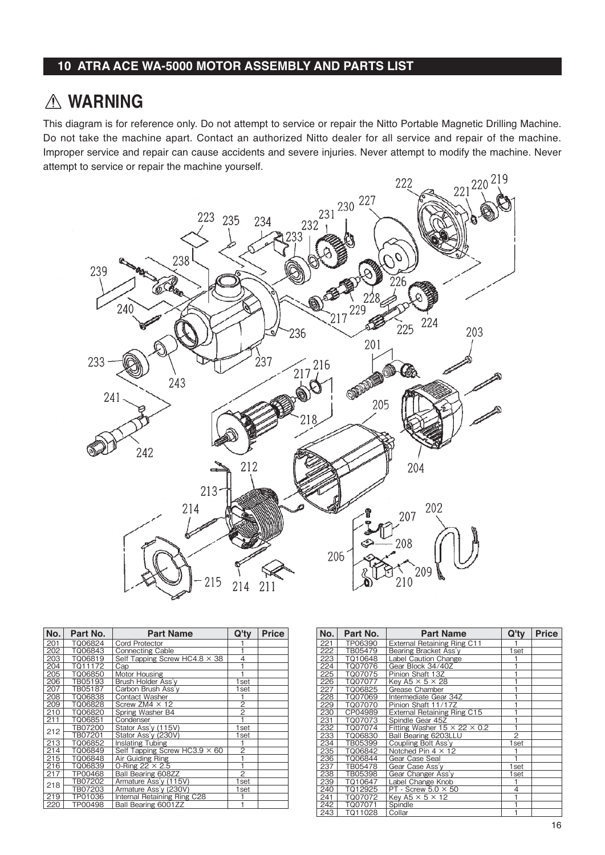#### **10 ATRA ACE WA-5000 MOTOR ASSEMBLY AND PARTS LIST**

## **WARNING**

This diagram is for reference only. Do not attempt to service or repair the Nitto Portable Magnetic Drilling Machine. Do not take the machine apart. Contact an authorized Nitto dealer for all service and repair of the machine. Improper service and repair can cause accidents and severe injuries. Never attempt to modify the machine. Never attempt to service or repair the machine yourself.



| No. | Part No. | <b>Part Name</b>                     | Q'ty           | <b>Price</b> |
|-----|----------|--------------------------------------|----------------|--------------|
| 201 | TQ06824  | <b>Cord Protector</b>                |                |              |
| 202 | TQ06843  | <b>Connecting Cable</b>              |                |              |
| 203 | TQ06819  | Self Tapping Screw HC4.8 $\times$ 38 | 4              |              |
| 204 | TQ11172  | Cap                                  |                |              |
| 205 | TQ06850  | Motor Housing                        |                |              |
| 206 | TB05193  | Brush Holder Ass'v                   | 1set           |              |
| 207 | TB05187  | Carbon Brush Ass'v                   | 1set           |              |
| 208 | TQ06838  | Contact Washer                       |                |              |
| 209 | TQ06828  | Screw ZM4 $\times$ 12                | $\overline{2}$ |              |
| 210 | TQ06820  | Spring Washer B4                     | $\overline{2}$ |              |
| 211 | TQ06851  | Condenser                            |                |              |
| 212 | TB07200  | Stator Ass'y (115V)                  | 1set           |              |
|     | TB07201  | Stator Ass'y (230V)                  | 1set           |              |
| 213 | TQ06852  | <b>Inslating Tubing</b>              |                |              |
| 214 | TQ06849  | Self Tapping Screw HC3.9 $\times$ 60 | $\overline{2}$ |              |
| 215 | TQ06848  | Air Guiding Ring                     |                |              |
| 216 | TQ06839  | 0-Ring $22 \times 2.5$               |                |              |
| 217 | TP00468  | <b>Ball Bearing 608ZZ</b>            | $\overline{2}$ |              |
| 218 | TB07202  | Armature Ass'y (115V)                | 1set           |              |
|     | TB07203  | Armature Ass'y (230V)                | 1set           |              |
| 219 | TP01036  | Internal Retaining Ring C28          |                |              |
| 220 | TP00498  | Ball Bearing 6001ZZ                  | 1              |              |

| No.l | Part No. | Part Name                                | $Q'$ ty | <b>Price</b> |
|------|----------|------------------------------------------|---------|--------------|
| 221  | TP06390  | External Retaining Ring C11              |         |              |
| 222  | TB05479  | Bearing Bracket Ass'y                    | 1set    |              |
| 223  | TQ10648  | Label Caution Change                     |         |              |
| 224  | TQ07076  | Gear Block 34/40Z                        |         |              |
| 225  | TQ07075  | Pinion Shaft 13Z                         |         |              |
| 226  | TQ07077  | Key A5 $\times$ 5 $\times$ 28            |         |              |
| 227  | TQ06825  | Grease Chamber                           |         |              |
| 228  | TQ07069  | Intermediate Gear 34Z                    |         |              |
| 229  | TQ07070  | Pinion Shaft 11/17Z                      |         |              |
| 230  | CP04989  | External Retaining Ring C15              |         |              |
| 231  | TQ07073  | Spindle Gear 45Z                         |         |              |
| 232  | TQ07074  | Fitting Washer $15 \times 22 \times 0.2$ | 1       |              |
| 233  | TQ06830  | Ball Bearing 6203LLU                     | 2       |              |
| 234  | TB05399  | Coupling Bolt Ass'y                      | 1 set   |              |
| 235  | TQ06842  | Notched Pin $4 \times 12$                |         |              |
| 236  | TQ06844  | Gear Case Seal                           |         |              |
| 237  | TB05478  | Gear Case Ass'y                          | 1set    |              |
| 238  | TB05398  | Gear Changer Ass'y                       | 1 set   |              |
| 239  | TQ10647  | Label Change Knob                        |         |              |
| 240  | TQ12925  | PT - Screw $5.0 \times 50$               | 4       |              |
| 241  | TQ07072  | Key A5 $\times$ 5 $\times$ 12            |         |              |
| 242  | TQ07071  | Spindle                                  |         |              |
| 243  | TQ11028  | Collar                                   | 1       |              |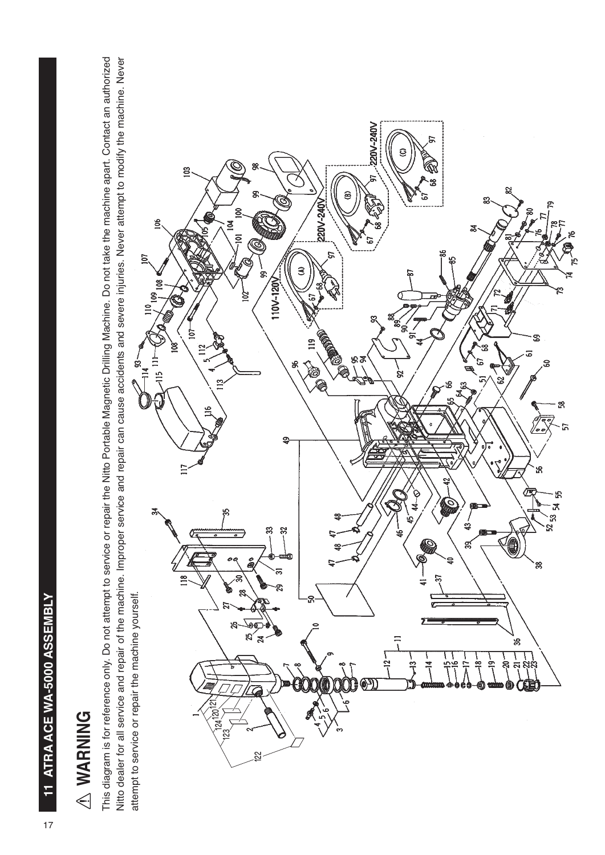# A WARNING  **WARNING**

This diagram is for reference only. Do not attempt to service or repair the Nitto Portable Magnetic Drilling Machine. Do not take the machine apart. Contact an authorized This diagram is for reference only. Do not attempt to service or repair the Nitto Portable Magnetic Drilling Machine. Do not take the machine apart. Contact an authorized Nitto dealer for all service and repair of the machine. Improper service and repair can cause accidents and severe injuries. Never attempt to modify the machine. Never Nitto dealer for all service and repair of the machine. Improper service and repair can cause accidents and severe injuries. Never attempt to modify the machine. Never attempt to service or repair the machine yourself. attempt to service or repair the machine yourself.

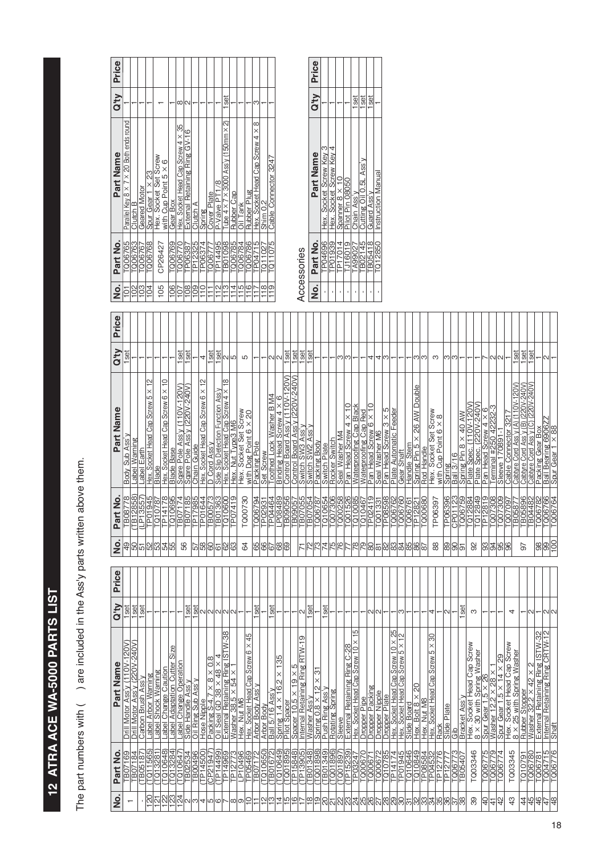# 12 ATRA ACE WA-5000 PARTS LIST **12 ATRA ACE WA-5000 PARTS LIST**

The part numbers with ( ) are included in the Ass'y parts written above them. The part numbers with ( ) are included in the Ass'y parts written above them.

| $\frac{1}{2}$         | $\frac{1}{2}$                                                        | $\overline{102}$ | 103                  | $\overline{5}$                                        | 105                                               | $\frac{6}{2}$                  | $\overline{5}$               | 80                                        | 109                                                                         | $\subseteq$                       | Ξ                                    | N                                             | $\frac{3}{13}$                                  | $\overline{4}$    | $\frac{5}{10}$                                                                                                                  |                 | $\frac{8}{1}$                          | თ                                                                                                                                                                                                                                                                                                                                                                                                                                           |                                       |                                | <b>Acces</b>                                 |                  | $\dot{\mathsf{S}}$    |              |               |                                                  | ï                                             |                                                   | f,                    |                         |                                                                                          |                                   |                                        |             |                             |                                                                                      |                                                |              |                                     |                             |                               |                         |                      |                      |                 |                      |                                                                                                                                                                                                                                                                                                                                                                                                                                                                           |                                                                             |                                                                                                                                            |                               |                            |
|-----------------------|----------------------------------------------------------------------|------------------|----------------------|-------------------------------------------------------|---------------------------------------------------|--------------------------------|------------------------------|-------------------------------------------|-----------------------------------------------------------------------------|-----------------------------------|--------------------------------------|-----------------------------------------------|-------------------------------------------------|-------------------|---------------------------------------------------------------------------------------------------------------------------------|-----------------|----------------------------------------|---------------------------------------------------------------------------------------------------------------------------------------------------------------------------------------------------------------------------------------------------------------------------------------------------------------------------------------------------------------------------------------------------------------------------------------------|---------------------------------------|--------------------------------|----------------------------------------------|------------------|-----------------------|--------------|---------------|--------------------------------------------------|-----------------------------------------------|---------------------------------------------------|-----------------------|-------------------------|------------------------------------------------------------------------------------------|-----------------------------------|----------------------------------------|-------------|-----------------------------|--------------------------------------------------------------------------------------|------------------------------------------------|--------------|-------------------------------------|-----------------------------|-------------------------------|-------------------------|----------------------|----------------------|-----------------|----------------------|---------------------------------------------------------------------------------------------------------------------------------------------------------------------------------------------------------------------------------------------------------------------------------------------------------------------------------------------------------------------------------------------------------------------------------------------------------------------------|-----------------------------------------------------------------------------|--------------------------------------------------------------------------------------------------------------------------------------------|-------------------------------|----------------------------|
| Price                 |                                                                      |                  |                      |                                                       |                                                   |                                |                              |                                           |                                                                             |                                   |                                      |                                               |                                                 |                   |                                                                                                                                 |                 |                                        |                                                                                                                                                                                                                                                                                                                                                                                                                                             |                                       |                                |                                              |                  |                       |              |               |                                                  |                                               |                                                   |                       |                         |                                                                                          |                                   |                                        |             |                             |                                                                                      |                                                |              |                                     |                             |                               |                         |                      |                      |                 |                      |                                                                                                                                                                                                                                                                                                                                                                                                                                                                           |                                                                             |                                                                                                                                            |                               |                            |
| Q'Iy                  | set                                                                  |                  |                      |                                                       |                                                   |                                | set                          | set                                       |                                                                             | 4                                 | set                                  | set                                           | N                                               | 5                 | Б                                                                                                                               |                 |                                        | И<br>$\sim$                                                                                                                                                                                                                                                                                                                                                                                                                                 | set                                   | 1set                           | set                                          | <b>GS</b>        |                       |              |               | ო                                                | ω                                             |                                                   |                       | 4                       | 4<br>ო                                                                                   |                                   |                                        |             |                             | က က                                                                                  | S                                              |              | ကကြ                                 |                             |                               |                         |                      | ผเผ                  |                 |                      | set                                                                                                                                                                                                                                                                                                                                                                                                                                                                       | set                                                                         | set                                                                                                                                        | N                             |                            |
| Part Name             | Sub Ass <sup>1</sup><br><b>Body</b>                                  | Warning<br>_abel | Label Earth          | $\approx$<br>$5 \times$<br>Hex. Socket Head Cap Screw | Hex. Socket Head Cap Screw 6 × 10<br><b>Blade</b> | <b>Blade Base</b>              | Sqare Pole Ass'y (110V-120V) | Sqare Pole Ass <sup>l</sup> y (220V-240V) | Chain Guide                                                                 | Hex. Socket Head Cap Screw 6 × 12 | D Cord Ass'y                         | Side Slip Detection Function Ass <sup>1</sup> | $\frac{8}{1}$<br>Hex. Socket Head Cap Screw 4 X | Hex. Nut Type3 M6 | Hex. Socket Set Screw<br>with Dog Point 6 × 20                                                                                  | Packing Pole    | Set Screw                              | Toothed Lock Washer B M4<br>Binding Head Screw 4 X                                                                                                                                                                                                                                                                                                                                                                                          | 10V-120V)<br>O<br>Control Board Ass'y | Control Board Ass y (220V-240V | Switch SW3 Ass'y                             | Switch SW2 Ass'y | Packing Body          | Switch Plate | Rocker Switch | Seal Washer M4                                   | $\frac{1}{2}$<br>$\times$<br>Pan Head Screw 4 | Waterproofing Cap Black                           | Waterproofing Cap Red | O<br>Pan Head Screw 6 x | ഥ<br>$\times$<br>Pan Head Screw<br>Seal Washer M6                                        | Plate Automatic Feeder<br>6       | Gear Shaft                             | Handle Stem | Spring Pin 5 × 26 AW Double | Rod Handle                                                                           | Hox. Socket Set Screw<br>Hex. Socket Set Screw |              | <b>Ball 3/16</b><br>Spring          | Spring Pin $8 \times 40$ AW | $(110V - 120V$<br>Plate Spec. | Plate Spec. (220V-240V) | Pan Head Screw 4 × 6 | Teminal #250 42232-3 | Sleeve 170891-1 | Cable Connector 3217 | Cabtyre Cord Ass'y (A) (110V-120V)                                                                                                                                                                                                                                                                                                                                                                                                                                        | Cabtyre Cord Ass'y (C) (220V-240V)<br>(220V-240V)<br>Cabtyre Cord Ass'y (B) | Packing Gear Box                                                                                                                           | Ball Bearing 6906Z            | $\times$ 88<br>Spur Gear 1 |
| Part No               | ГВ08778                                                              | (TB12858)        | (LP13557             | <b>TP01945</b>                                        | P14178<br>TQ10787                                 | <b>LG10695</b>                 | FB07174                      | B07185                                    | TP17985                                                                     | P01644                            | B00573                               | 363<br>$\overline{6}$                         | TQ10600                                         | TP07419           | TQ00730                                                                                                                         | TQ06794         | P02931                                 | TP04464                                                                                                                                                                                                                                                                                                                                                                                                                                     | LP08489<br>B09056                     | <b>BO905</b>                   | B07055                                       | TB07054          | Q06787                | LG10654      | 007306        | $-000258$                                        | $-001526$                                     | 10085                                             | TQ10467               | P02419                  | P08598<br>[Q01331                                                                        | FQ06762                           | Q06760                                 | 006761      | P12821                      | [Q00680                                                                              | TP06397                                        | TP06396      | 123<br>CP <sub>O</sub> <sub>1</sub> | [Q06759                     | $-012884$                     | TQ12849                 | P12819               | [Q07308              | -007309         | -007097              | B0587                                                                                                                                                                                                                                                                                                                                                                                                                                                                     | <b>TB05896</b><br>TB04482                                                   | 387900                                                                                                                                     | [Q06766                       | 006764                     |
| ġ                     | $\frac{1}{2}$                                                        | ြင               | 5                    | SS <sub>1</sub>                                       | $\frac{2}{3}$                                     | 55                             | 56                           |                                           |                                                                             | $\frac{89}{29}$                   | 60                                   | 6                                             | 63<br>8                                         |                   | 64                                                                                                                              | 99              |                                        | 67                                                                                                                                                                                                                                                                                                                                                                                                                                          | 89<br>ခြ                              |                                |                                              | 27               | ဇ္                    |              | <u>416</u>    | 76                                               |                                               | 78                                                | 79                    | 80                      | 8S<br>$\overline{8}$                                                                     | 83                                | 84                                     |             | $\frac{5}{86}$              | ∥∞                                                                                   | 88                                             | 89           | ခြ                                  | 5                           |                               | 92                      | 93                   | $\frac{9}{8}$        |                 | န္တ                  |                                                                                                                                                                                                                                                                                                                                                                                                                                                                           | 57                                                                          |                                                                                                                                            | $\frac{1}{2}$                 |                            |
| Price                 |                                                                      |                  |                      |                                                       |                                                   |                                |                              |                                           |                                                                             |                                   |                                      |                                               |                                                 |                   |                                                                                                                                 |                 |                                        |                                                                                                                                                                                                                                                                                                                                                                                                                                             |                                       |                                |                                              |                  |                       |              |               |                                                  |                                               |                                                   |                       |                         |                                                                                          |                                   |                                        |             |                             |                                                                                      |                                                |              |                                     |                             |                               |                         |                      |                      |                 |                      |                                                                                                                                                                                                                                                                                                                                                                                                                                                                           |                                                                             |                                                                                                                                            |                               |                            |
| <b>A<sub>I</sub>D</b> | 1set                                                                 | set              | 1 <sub>set</sub>     |                                                       |                                                   |                                |                              | set                                       | set                                                                         |                                   | וא מ מ                               |                                               | N N                                             |                   |                                                                                                                                 | set             |                                        | set                                                                                                                                                                                                                                                                                                                                                                                                                                         |                                       |                                | N                                            | set              |                       | set          |               |                                                  |                                               |                                                   |                       | ଧାଠ                     |                                                                                          |                                   | ო                                      |             |                             |                                                                                      | 4                                              |              | N                                   |                             | set                           | S                       |                      |                      |                 | 4                    |                                                                                                                                                                                                                                                                                                                                                                                                                                                                           |                                                                             | $\scriptstyle\sim$                                                                                                                         | ผเผ                           |                            |
| Part Name             | 20V)<br>Drill Motor Ass'y (110V-120V<br>Drill Motor Ass'y (220V-240V |                  | Carbon Brush Ass'y   | abel Arbor Warning                                    | abel Change Caution<br>abel Shock Warning         | Size<br>abel Adaptation Cutter | abel Change Operation        |                                           | Side Handle Assiy<br>Oil Ring Sub Assiy<br>Hose Nipple<br>Packing S-4,7 × 8 |                                   | $\frac{8}{2}$<br>$\times$ 8 $\times$ |                                               |                                                 |                   | <u>Oili Seal GD 38 × 48 × 4</u><br>External Retaining Ring ISTW-38<br>Hessher 38.5 × 54 × 1<br>Hex Socket Head Cap Screw 6 × 45 | rbor Body Ass'y | <b>Arbor Body</b><br><b>Arbor Body</b> | $\begin{tabular}{ c c c c } \hline \hline Ball & 5/16 Assy & & \\ \hline \hline \hline \hline \text{Dint 1,4} & 1.4 \times 16.2 \times 135 \\ \hline \hline \text{Pint 1,4} & 1.4 \times 16.2 \times 135 \\ \hline \text{Pint 1,5} & 1.4 \times 19.2 \times 15 & \\ \hline \text{Masing Resy} & \hline \text{Bing R} \\ \hline \text{Dism} & 0.8 \times 12 \times 31 \\ \hline \text{Rushing Assy} & \hline \text{Rbig R} \\ \hline \text{$ |                                       |                                | တ                                            |                  |                       |              |               |                                                  |                                               | 5<br>$\times$<br>Cap Screw 10<br>Hex. Socket Head |                       |                         | Dropper Pipe<br>Dropper Packing<br>Dropper Plate<br>Dropper Plate<br>Hex. Socket Head Ci | ex. Socket Head Cap Screw 10 × 25 | ex. Socket Head Cap Screw 5 × 12<br>ΙĪ |             |                             | Slide Board<br>  Hex. Bolt 8 × 20<br>  Hex. Nut M8<br>  Hex. Socket Head Cap Screw 5 | န္တ<br>$\times$<br>ယ                           |              |                                     |                             |                               |                         |                      |                      |                 |                      | $\begin{tabular}{ c c c c c } \hline \text{Back} & \text{Hock} & \text{Hock} & \text{Hock} \\ \hline \text{Silde Plate} & \text{Bline} & \text{Plate} \\ \hline \text{BifacNet Assy} & \text{Aosy} & \text{Borew} \\ \hline \text{Hex, Sooket Head Cap Screw} \\ \hline \text{Sov, Gourth, Sverige} & \text{Masher} \\ \hline \text{Sour Gear 1.5} \times 28 \times 1 \\ \hline \text{Sour Gaer 1.5} \times 28 \times 1 \\ \hline \text{Bour Gaer 1.5} \times 28 \times $ |                                                                             | ISTW-32<br>Rubber Stopper<br>Washer 32.2 × 42 × 2<br>External Retaining Pine K                                                             | ternal Retaining Ring CRTW-12 | haft<br>드)                 |
| Part No               | TB07169<br>TB07184                                                   |                  | TB05187)<br>TQ11565) |                                                       | (TQ13281)<br>(TQ10648)<br>(TQ13284)               |                                | $T\overline{Q10647}$         |                                           | TB02534<br>TB00496<br>TED1500)<br>CP21947)<br>CP14499)                      |                                   |                                      |                                               | TP14969<br>P <sub>127</sub>                     | ಜ                 | LP10496<br>TP05469<br>TB07172                                                                                                   |                 | 0650)<br>$\overline{101}$              | TB01672                                                                                                                                                                                                                                                                                                                                                                                                                                     |                                       |                                | T010649)<br>T001895)<br>TP15848)<br>TP13905) |                  | TB01348)<br>(TQ01898) |              |               | (TB01349)<br>(TG01896)<br>(TG01897)<br>(TP15239) |                                               | TP03247                                           | c<br><b>Z900D</b>     |                         | <sub>86</sub><br>T00067<br>T000672<br>T01078:                                            | [P14174                           | 945<br>$\overline{5}$                  |             |                             | TQ10646<br>TQ10849<br>TP08584<br>TP04532                                             |                                                | ဇ<br>27<br>Ë | 0067<br>P12                         | B0540                       |                               | TQ03346                 | ഥ<br>0067            | T006779              |                 | ഥ<br>TQ0334          |                                                                                                                                                                                                                                                                                                                                                                                                                                                                           |                                                                             | $\begin{array}{ l l l l l } \hline 1010791 \\ \hline 1006780 \\ \hline 1100711 \\ \hline 1004715 \\ \hline 11004715 \\ \hline \end{array}$ |                               |                            |
| o<br>N                | ↽                                                                    |                  |                      | $\overline{\mathbb{S}}$                               | 인정없습                                              |                                |                              |                                           | ഢത                                                                          |                                   | 4 ന ര                                |                                               |                                                 | ∞<br>თ            | ₽                                                                                                                               |                 | N                                      | ო                                                                                                                                                                                                                                                                                                                                                                                                                                           | 직이                                    |                                | ∣© ∿                                         | $\frac{8}{18}$   | ∣മ                    |              |               |                                                  |                                               |                                                   |                       |                         |                                                                                          |                                   |                                        |             |                             |                                                                                      |                                                |              |                                     |                             |                               | 39                      | $\frac{1}{4}$        | $\frac{4}{3}$        |                 | 43                   |                                                                                                                                                                                                                                                                                                                                                                                                                                                                           |                                                                             | <u> 4 4 4 4 4 4</u>                                                                                                                        |                               |                            |

| 106<br>103<br>105<br>102<br>104<br>101 | TQ06765<br>TQ06763<br>TQ06767 |                                                        |      |  |
|----------------------------------------|-------------------------------|--------------------------------------------------------|------|--|
|                                        |                               | Parallel Key 8 × 7 × 20 Both ends round                |      |  |
|                                        |                               | Clutch B                                               |      |  |
|                                        |                               | Geared Motor                                           |      |  |
|                                        | TQ06768                       | Sour Gear $1 \times 23$                                |      |  |
|                                        | CP26427                       | Hex. Socket Set Screw<br>with Cup Point $5 \times 6$   |      |  |
|                                        | T006769                       | Gear Box                                               |      |  |
| 107                                    | TQ06770                       | Hex. Socket Head Cap Screw 4 × 35                      | ∞    |  |
| 108                                    | TP06387                       | External Retaining Ring GV-16                          | ᠭ    |  |
| 109                                    | TP12325                       | Clutch A                                               |      |  |
| $\frac{1}{2}$                          | TP06374                       | Spring                                                 |      |  |
|                                        | TQ06777                       | Cover Plate                                            |      |  |
| 112                                    | TP14495                       | P-Valve PT1/8                                          |      |  |
| 113                                    | <b>TB01098</b>                | Tube $4 \times 7 \times 3000$ Ass'y (150mm $\times$ 2) | 1set |  |
| 114                                    | T006785                       | <b>Rubber Cap</b>                                      |      |  |
| 115                                    | TQ06784                       | Oil Tank                                               |      |  |
| 116                                    | TQ06786                       | Rubber Plug                                            |      |  |
|                                        | TP04715                       | Hex. Socket Head Cap Screw 4 × 8                       | ω    |  |
| $\frac{8}{18}$                         | TQ11027                       | Shim 0.2                                               |      |  |
| $\frac{0}{1}$                          | TQ11075                       | Cable Connector 3247                                   |      |  |

ssories Accessories

| –<br>2 | Part No. | Part Name                 |             | Q'ty Price |
|--------|----------|---------------------------|-------------|------------|
|        | TP04696  | Hex. Socket Screw Key 3   |             |            |
|        | TP01939  | Hex. Socket Screw Key 4   |             |            |
|        | TP17014  | Spanner $8 \times 10$     |             |            |
|        | TJ16019  | Pilot Pin 08050           |             |            |
|        | TA99027  | Chain Ass'y               | Iset        |            |
|        | TB02145  | Cutting Oil 0.5L Ass'y    | set         |            |
|        | TB05418  | Guard Ass'y               | <b>Iset</b> |            |
|        | TQ12850  | <b>Instruction Manual</b> |             |            |